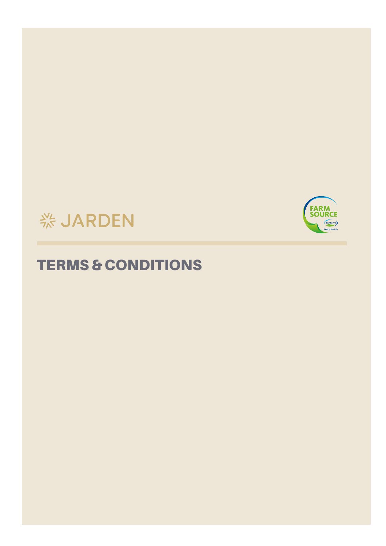



# TERMS & CONDITIONS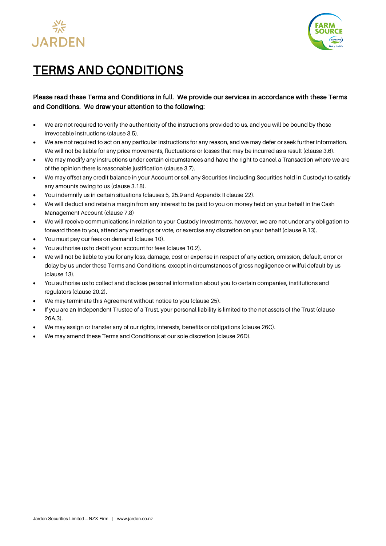



## TERMS AND CONDITIONS

## Please read these Terms and Conditions in full. We provide our services in accordance with these Terms and Conditions. We draw your attention to the following:

- We are not required to verify the authenticity of the instructions provided to us, and you will be bound by those irrevocable instructions (clause 3.5).
- We are not required to act on any particular instructions for any reason, and we may defer or seek further information. We will not be liable for any price movements, fluctuations or losses that may be incurred as a result (clause 3.6).
- We may modify any instructions under certain circumstances and have the right to cancel a Transaction where we are of the opinion there is reasonable justification (clause 3.7).
- We may offset any credit balance in your Account or sell any Securities (including Securities held in Custody) to satisfy any amounts owing to us (clause 3.18).
- You indemnify us in certain situations (clauses 5, 25.9 and Appendix II clause 22).
- We will deduct and retain a margin from any interest to be paid to you on money held on your behalf in the Cash Management Account (clause 7.8)
- We will receive communications in relation to your Custody Investments, however, we are not under any obligation to forward those to you, attend any meetings or vote, or exercise any discretion on your behalf (clause 9.13).
- You must pay our fees on demand (clause 10).
- You authorise us to debit your account for fees (clause 10.2).
- We will not be liable to you for any loss, damage, cost or expense in respect of any action, omission, default, error or delay by us under these Terms and Conditions, except in circumstances of gross negligence or wilful default by us (clause 13).
- You authorise us to collect and disclose personal information about you to certain companies, institutions and regulators (clause 20.2).
- We may terminate this Agreement without notice to you (clause 25).
- If you are an Independent Trustee of a Trust, your personal liability is limited to the net assets of the Trust (clause 26A.3).
- We may assign or transfer any of our rights, interests, benefits or obligations (clause 26C).
- We may amend these Terms and Conditions at our sole discretion (clause 26D).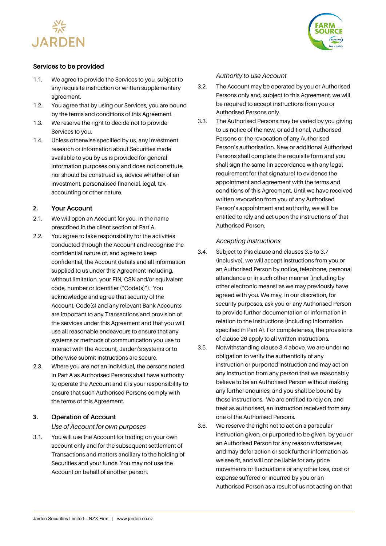



## Services to be provided

- 1.1. We agree to provide the Services to you, subject to any requisite instruction or written supplementary agreement.
- 1.2. You agree that by using our Services, you are bound by the terms and conditions of this Agreement.
- 1.3. We reserve the right to decide not to provide Services to you.
- 1.4. Unless otherwise specified by us, any investment research or information about Securities made available to you by us is provided for general information purposes only and does not constitute, nor should be construed as, advice whether of an investment, personalised financial, legal, tax, accounting or other nature.

#### **2.** Your Account

- 2.1. We will open an Account for you, in the name prescribed in the client section of Part A.
- 2.2. You agree to take responsibility for the activities conducted through the Account and recognise the confidential nature of, and agree to keep confidential, the Account details and all information supplied to us under this Agreement including, without limitation, your FIN, CSN and/or equivalent code, number or identifier ("Code(s)"). You acknowledge and agree that security of the Account, Code(s) and any relevant Bank Accounts are important to any Transactions and provision of the services under this Agreement and that you will use all reasonable endeavours to ensure that any systems or methods of communication you use to interact with the Account, Jarden's systems or to otherwise submit instructions are secure.
- 2.3. Where you are not an individual, the persons noted in Part A as Authorised Persons shall have authority to operate the Account and it is your responsibility to ensure that such Authorised Persons comply with the terms of this Agreement.

#### **3.** Operation of Account

#### *Use of Account for own purposes*

3.1. You will use the Account for trading on your own account only and for the subsequent settlement of Transactions and matters ancillary to the holding of Securities and your funds. You may not use the Account on behalf of another person.

#### *Authority to use Account*

- 3.2. The Account may be operated by you or Authorised Persons only and, subject to this Agreement, we will be required to accept instructions from you or Authorised Persons only.
- 3.3. The Authorised Persons may be varied by you giving to us notice of the new, or additional, Authorised Persons or the revocation of any Authorised Person's authorisation. New or additional Authorised Persons shall complete the requisite form and you shall sign the same (in accordance with any legal requirement for that signature) to evidence the appointment and agreement with the terms and conditions of this Agreement. Until we have received written revocation from you of any Authorised Person's appointment and authority, we will be entitled to rely and act upon the instructions of that Authorised Person.

#### *Accepting instructions*

- 3.4. Subject to this clause and clauses 3.5 to 3.7 (inclusive), we will accept instructions from you or an Authorised Person by notice, telephone, personal attendance or in such other manner (including by other electronic means) as we may previously have agreed with you. We may, in our discretion, for security purposes, ask you or any Authorised Person to provide further documentation or information in relation to the instructions (including information specified in Part A). For completeness, the provisions of clause 26 apply to all written instructions.
- 3.5. Notwithstanding clause 3.4 above, we are under no obligation to verify the authenticity of any instruction or purported instruction and may act on any instruction from any person that we reasonably believe to be an Authorised Person without making any further enquiries, and you shall be bound by those instructions. We are entitled to rely on, and treat as authorised, an instruction received from any one of the Authorised Persons.
- 3.6. We reserve the right not to act on a particular instruction given, or purported to be given, by you or an Authorised Person for any reason whatsoever, and may defer action or seek further information as we see fit, and will not be liable for any price movements or fluctuations or any other loss, cost or expense suffered or incurred by you or an Authorised Person as a result of us not acting on that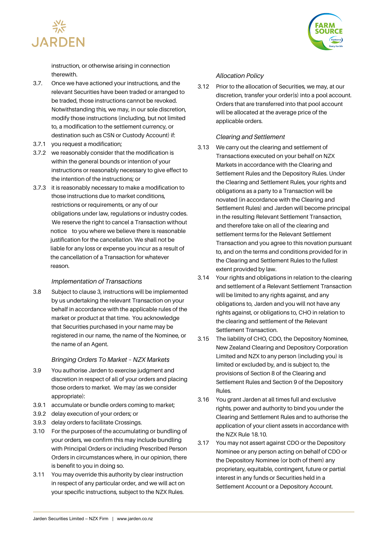



instruction, or otherwise arising in connection therewith.

- 3.7. Once we have actioned your instructions, and the relevant Securities have been traded or arranged to be traded, those instructions cannot be revoked. Notwithstanding this, we may, in our sole discretion, modify those instructions (including, but not limited to, a modification to the settlement currency, or destination such as CSN or Custody Account) if:
- 3.7.1 you request a modification;
- 3.7.2 we reasonably consider that the modification is within the general bounds or intention of your instructions or reasonably necessary to give effect to the intention of the instructions; or
- 3.7.3 it is reasonably necessary to make a modification to those instructions due to market conditions, restrictions or requirements, or any of our obligations under law, regulations or industry codes. We reserve the right to cancel a Transaction without notice to you where we believe there is reasonable justification for the cancellation. We shall not be liable for any loss or expense you incur as a result of the cancellation of a Transaction for whatever reason.

#### *Implementation of Transactions*

3.8 Subject to clause 3, instructions will be implemented by us undertaking the relevant Transaction on your behalf in accordance with the applicable rules of the market or product at that time. You acknowledge that Securities purchased in your name may be registered in our name, the name of the Nominee, or the name of an Agent.

#### *Bringing Orders To Market – NZX Markets*

- 3.9 You authorise Jarden to exercise judgment and discretion in respect of all of your orders and placing those orders to market. We may (as we consider appropriate):
- 3.9.1 accumulate or bundle orders coming to market;
- 3.9.2 delay execution of your orders; or
- 3.9.3 delay orders to facilitate Crossings.
- 3.10 For the purposes of the accumulating or bundling of your orders, we confirm this may include bundling with Principal Orders or including Prescribed Person Orders in circumstances where, in our opinion, there is benefit to you in doing so.
- 3.11 You may override this authority by clear instruction in respect of any particular order, and we will act on your specific instructions, subject to the NZX Rules.

#### *Allocation Policy*

3.12 Prior to the allocation of Securities, we may, at our discretion, transfer your order(s) into a pool account. Orders that are transferred into that pool account will be allocated at the average price of the applicable orders.

#### *Clearing and Settlement*

- 3.13 We carry out the clearing and settlement of Transactions executed on your behalf on NZX Markets in accordance with the Clearing and Settlement Rules and the Depository Rules. Under the Clearing and Settlement Rules, your rights and obligations as a party to a Transaction will be novated (in accordance with the Clearing and Settlement Rules) and Jarden will become principal in the resulting Relevant Settlement Transaction, and therefore take on all of the clearing and settlement terms for the Relevant Settlement Transaction and you agree to this novation pursuant to, and on the terms and conditions provided for in the Clearing and Settlement Rules to the fullest extent provided by law.
- 3.14 Your rights and obligations in relation to the clearing and settlement of a Relevant Settlement Transaction will be limited to any rights against, and any obligations to, Jarden and you will not have any rights against, or obligations to, CHO in relation to the clearing and settlement of the Relevant Settlement Transaction.
- 3.15 The liability of CHO, CDO, the Depository Nominee, New Zealand Clearing and Depository Corporation Limited and NZX to any person (including you) is limited or excluded by, and is subject to, the provisions of Section 8 of the Clearing and Settlement Rules and Section 9 of the Depository Rules.
- 3.16 You grant Jarden at all times full and exclusive rights, power and authority to bind you under the Clearing and Settlement Rules and to authorise the application of your client assets in accordance with the NZX Rule 18.10.
- 3.17 You may not assert against CDO or the Depository Nominee or any person acting on behalf of CDO or the Depository Nominee (or both of them) any proprietary, equitable, contingent, future or partial interest in any funds or Securities held in a Settlement Account or a Depository Account.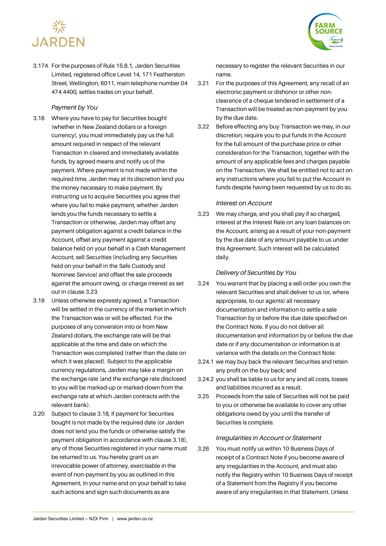



3.17A For the purposes of Rule 15.8.1, Jarden Securities Limited, registered office Level 14, 171 Featherston Street, Wellington, 6011, main telephone number 04 474 4400, settles trades on your behalf.

#### *Payment by You*

- 3.18 Where you have to pay for Securities bought (whether in New Zealand dollars or a foreign currency), you must immediately pay us the full amount required in respect of the relevant Transaction in cleared and immediately available funds, by agreed means and notify us of the payment. Where payment is not made within the required time, Jarden may at its discretion lend you the money necessary to make payment. By instructing us to acquire Securities you agree that where you fail to make payment, whether Jarden lends you the funds necessary to settle a Transaction or otherwise, Jarden may offset any payment obligation against a credit balance in the Account, offset any payment against a credit balance held on your behalf in a Cash Management Account, sell Securities (including any Securities held on your behalf in the Safe Custody and Nominee Service) and offset the sale proceeds against the amount owing, or charge interest as set out in clause 3.23.
- 3.19 Unless otherwise expressly agreed, a Transaction will be settled in the currency of the market in which the Transaction was or will be effected. For the purposes of any conversion into or from New Zealand dollars, the exchange rate will be that applicable at the time and date on which the Transaction was completed (rather than the date on which it was placed). Subject to the applicable currency regulations, Jarden may take a margin on the exchange rate (and the exchange rate disclosed to you will be marked-up or marked-down from the exchange rate at which Jarden contracts with the relevant bank).
- 3.20 Subject to clause 3.18, if payment for Securities bought is not made by the required date (or Jarden does not lend you the funds or otherwise satisfy the payment obligation in accordance with clause 3.18), any of those Securities registered in your name must be returned to us. You hereby grant us an irrevocable power of attorney, exercisable in the event of non-payment by you as outlined in this Agreement, in your name and on your behalf to take such actions and sign such documents as are

necessary to register the relevant Securities in our name.

- 3.21 For the purposes of this Agreement, any recall of an electronic payment or dishonor or other nonclearance of a cheque tendered in settlement of a Transaction will be treated as non-payment by you by the due date.
- 3.22 Before effecting any buy Transaction we may, in our discretion, require you to put funds in the Account for the full amount of the purchase price or other consideration for the Transaction, together with the amount of any applicable fees and charges payable on the Transaction. We shall be entitled not to act on any instructions where you fail to put the Account in funds despite having been requested by us to do so.

#### *Interest on Account*

3.23 We may charge, and you shall pay if so charged, interest at the Interest Rate on any loan balances on the Account, arising as a result of your non-payment by the due date of any amount payable to us under this Agreement. Such interest will be calculated daily.

#### *Delivery of Securities by You*

- 3.24 You warrant that by placing a sell order you own the relevant Securities and shall deliver to us (or, where appropriate, to our agents) all necessary documentation and information to settle a sale Transaction by or before the due date specified on the Contract Note. If you do not deliver all documentation and information by or before the due date or if any documentation or information is at variance with the details on the Contract Note:
- 3.24.1 we may buy back the relevant Securities and retain any profit on the buy back; and
- 3.24.2 you shall be liable to us for any and all costs, losses and liabilities incurred as a result.
- 3.25 Proceeds from the sale of Securities will not be paid to you or otherwise be available to cover any other obligations owed by you until the transfer of Securities is complete.

#### *Irregularities in Account or Statement*

3.26 You must notify us within 10 Business Days of receipt of a Contract Note if you become aware of any irregularities in the Account, and must also notify the Registry within 10 Business Days of receipt of a Statement from the Registry if you become aware of any irregularities in that Statement. Unless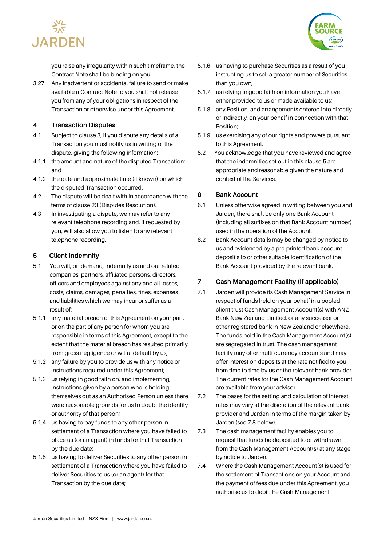

you raise any irregularity within such timeframe, the Contract Note shall be binding on you.

3.27 Any inadvertent or accidental failure to send or make available a Contract Note to you shall not release you from any of your obligations in respect of the Transaction or otherwise under this Agreement.

## 4 Transaction Disputes

- 4.1 Subject to clause 3, if you dispute any details of a Transaction you must notify us in writing of the dispute, giving the following information:
- 4.1.1 the amount and nature of the disputed Transaction; and
- 4.1.2 the date and approximate time (if known) on which the disputed Transaction occurred.
- 4.2 The dispute will be dealt with in accordance with the terms of clause 23 (Disputes Resolution).
- 4.3 In investigating a dispute, we may refer to any relevant telephone recording and, if requested by you, will also allow you to listen to any relevant telephone recording.

## 5 Client Indemnity

- 5.1 You will, on demand, indemnify us and our related companies, partners, affiliated persons, directors, officers and employees against any and all losses, costs, claims, damages, penalties, fines, expenses and liabilities which we may incur or suffer as a result of:
- 5.1.1 any material breach of this Agreement on your part, or on the part of any person for whom you are responsible in terms of this Agreement, except to the extent that the material breach has resulted primarily from gross negligence or wilful default by us;
- 5.1.2 any failure by you to provide us with any notice or instructions required under this Agreement;
- 5.1.3 us relying in good faith on, and implementing, instructions given by a person who is holding themselves out as an Authorised Person unless there were reasonable grounds for us to doubt the identity or authority of that person;
- 5.1.4 us having to pay funds to any other person in settlement of a Transaction where you have failed to place us (or an agent) in funds for that Transaction by the due date;
- 5.1.5 us having to deliver Securities to any other person in settlement of a Transaction where you have failed to deliver Securities to us (or an agent) for that Transaction by the due date;
- 5.1.6 us having to purchase Securities as a result of you instructing us to sell a greater number of Securities than you own;
- 5.1.7 us relying in good faith on information you have either provided to us or made available to us;
- 5.1.8 any Position, and arrangements entered into directly or indirectly, on your behalf in connection with that Position;
- 5.1.9 us exercising any of our rights and powers pursuant to this Agreement.
- 5.2 You acknowledge that you have reviewed and agree that the indemnities set out in this clause 5 are appropriate and reasonable given the nature and context of the Services.

## 6 Bank Account

- 6.1 Unless otherwise agreed in writing between you and Jarden, there shall be only one Bank Account (including all suffixes on that Bank Account number) used in the operation of the Account.
- 6.2 Bank Account details may be changed by notice to us and evidenced by a pre-printed bank account deposit slip or other suitable identification of the Bank Account provided by the relevant bank.

## 7 Cash Management Facility (If applicable)

- 7.1 Jarden will provide its Cash Management Service in respect of funds held on your behalf in a pooled client trust Cash Management Account(s) with ANZ Bank New Zealand Limited, or any successor or other registered bank in New Zealand or elsewhere. The funds held in the Cash Management Account(s) are segregated in trust. The cash management facility may offer multi-currency accounts and may offer interest on deposits at the rate notified to you from time to time by us or the relevant bank provider. The current rates for the Cash Management Account are available from your advisor.
- 7.2 The bases for the setting and calculation of interest rates may vary at the discretion of the relevant bank provider and Jarden in terms of the margin taken by Jarden (see 7.8 below).
- 7.3 The cash management facility enables you to request that funds be deposited to or withdrawn from the Cash Management Account(s) at any stage by notice to Jarden.
- 7.4 Where the Cash Management Account(s) is used for the settlement of Transactions on your Account and the payment of fees due under this Agreement, you authorise us to debit the Cash Management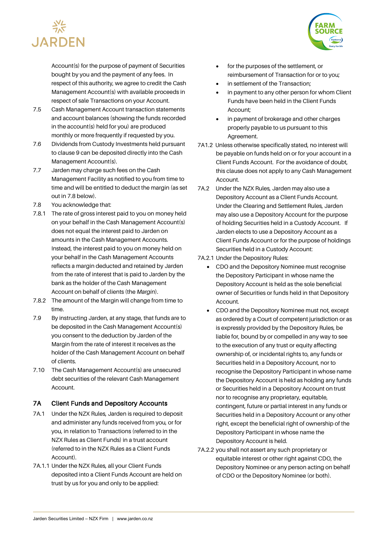

Account(s) for the purpose of payment of Securities bought by you and the payment of any fees. In respect of this authority, we agree to credit the Cash Management Account(s) with available proceeds in respect of sale Transactions on your Account.

- 7.5 Cash Management Account transaction statements and account balances (showing the funds recorded in the account(s) held for you) are produced monthly or more frequently if requested by you.
- 7.6 Dividends from Custody Investments held pursuant to clause 9 can be deposited directly into the Cash Management Account(s).
- 7.7 Jarden may charge such fees on the Cash Management Facility as notified to you from time to time and will be entitled to deduct the margin (as set out in 7.8 below).
- 7.8 You acknowledge that:
- 7.8.1 The rate of gross interest paid to you on money held on your behalf in the Cash Management Account(s) does not equal the interest paid to Jarden on amounts in the Cash Management Accounts. Instead, the interest paid to you on money held on your behalf in the Cash Management Accounts reflects a margin deducted and retained by Jarden from the rate of interest that is paid to Jarden by the bank as the holder of the Cash Management Account on behalf of clients (the *Margin*).
- 7.8.2 The amount of the Margin will change from time to time.
- 7.9 By instructing Jarden, at any stage, that funds are to be deposited in the Cash Management Account(s) you consent to the deduction by Jarden of the Margin from the rate of interest it receives as the holder of the Cash Management Account on behalf of clients.
- 7.10 The Cash Management Account(s) are unsecured debt securities of the relevant Cash Management Account.

## 7A Client Funds and Depository Accounts

- 7A.1 Under the NZX Rules, Jarden is required to deposit and administer any funds received from you, or for you, in relation to Transactions (referred to in the NZX Rules as Client Funds) in a trust account (referred to in the NZX Rules as a Client Funds Account).
- 7A.1.1 Under the NZX Rules, all your Client Funds deposited into a Client Funds Account are held on trust by us for you and only to be applied:



- for the purposes of the settlement, or reimbursement of Transaction for or to you;
- in settlement of the Transaction;
- in payment to any other person for whom Client Funds have been held in the Client Funds Account;
- in payment of brokerage and other charges properly payable to us pursuant to this Agreement.
- 7A1.2 Unless otherwise specifically stated, no interest will be payable on funds held on or for your account in a Client Funds Account. For the avoidance of doubt, this clause does not apply to any Cash Management Account.
- 7A.2 Under the NZX Rules, Jarden may also use a Depository Account as a Client Funds Account. Under the Clearing and Settlement Rules, Jarden may also use a Depository Account for the purpose of holding Securities held in a Custody Account. If Jarden elects to use a Depository Account as a Client Funds Account or for the purpose of holdings Securities held in a Custody Account:
- 7A.2.1 Under the Depository Rules:
	- CDO and the Depository Nominee must recognise the Depository Participant in whose name the Depository Account is held as the sole beneficial owner of Securities or funds held in that Depository Account.
	- CDO and the Depository Nominee must not, except as ordered by a Court of competent jurisdiction or as is expressly provided by the Depository Rules, be liable for, bound by or compelled in any way to see to the execution of any trust or equity affecting ownership of, or incidental rights to, any funds or Securities held in a Depository Account, nor to recognise the Depository Participant in whose name the Depository Account is held as holding any funds or Securities held in a Depository Account on trust nor to recognise any proprietary, equitable, contingent, future or partial interest in any funds or Securities held in a Depository Account or any other right, except the beneficial right of ownership of the Depository Participant in whose name the Depository Account is held.
- 7A.2.2 you shall not assert any such proprietary or equitable interest or other right against CDO, the Depository Nominee or any person acting on behalf of CDO or the Depository Nominee (or both).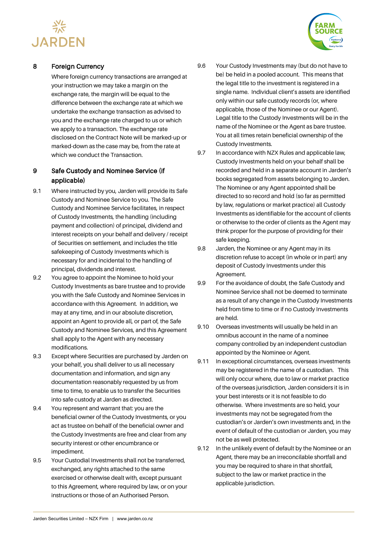



## 8 Foreign Currency

Where foreign currency transactions are arranged at your instruction we may take a margin on the exchange rate, the margin will be equal to the difference between the exchange rate at which we undertake the exchange transaction as advised to you and the exchange rate charged to us or which we apply to a transaction. The exchange rate disclosed on the Contract Note will be marked-up or marked-down as the case may be, from the rate at which we conduct the Transaction.

## 9 Safe Custody and Nominee Service (if applicable)

- 9.1 Where instructed by you, Jarden will provide its Safe Custody and Nominee Service to you. The Safe Custody and Nominee Service facilitates, in respect of Custody Investments, the handling (including payment and collection) of principal, dividend and interest receipts on your behalf and delivery / receipt of Securities on settlement, and includes the title safekeeping of Custody Investments which is necessary for and incidental to the handling of principal, dividends and interest.
- 9.2 You agree to appoint the Nominee to hold your Custody Investments as bare trustee and to provide you with the Safe Custody and Nominee Services in accordance with this Agreement. In addition, we may at any time, and in our absolute discretion, appoint an Agent to provide all, or part of, the Safe Custody and Nominee Services, and this Agreement shall apply to the Agent with any necessary modifications.
- 9.3 Except where Securities are purchased by Jarden on your behalf, you shall deliver to us all necessary documentation and information, and sign any documentation reasonably requested by us from time to time, to enable us to transfer the Securities into safe custody at Jarden as directed.
- 9.4 You represent and warrant that: you are the beneficial owner of the Custody Investments, or you act as trustee on behalf of the beneficial owner and the Custody Investments are free and clear from any security interest or other encumbrance or impediment.
- 9.5 Your Custodial Investments shall not be transferred, exchanged, any rights attached to the same exercised or otherwise dealt with, except pursuant to this Agreement, where required by law, or on your instructions or those of an Authorised Person.
- 9.6 Your Custody Investments may (but do not have to be) be held in a pooled account. This means that the legal title to the investment is registered in a single name. Individual client's assets are identified only within our safe custody records (or, where applicable, those of the Nominee or our Agent). Legal title to the Custody Investments will be in the name of the Nominee or the Agent as bare trustee. You at all times retain beneficial ownership of the Custody Investments.
- 9.7 In accordance with NZX Rules and applicable law, Custody Investments held on your behalf shall be recorded and held in a separate account in Jarden's books segregated from assets belonging to Jarden. The Nominee or any Agent appointed shall be directed to so record and hold (so far as permitted by law, regulations or market practice) all Custody Investments as identifiable for the account of clients or otherwise to the order of clients as the Agent may think proper for the purpose of providing for their safe keeping.
- 9.8 Jarden, the Nominee or any Agent may in its discretion refuse to accept (in whole or in part) any deposit of Custody Investments under this Agreement.
- 9.9 For the avoidance of doubt, the Safe Custody and Nominee Service shall not be deemed to terminate as a result of any change in the Custody Investments held from time to time or if no Custody Investments are held.
- 9.10 Overseas investments will usually be held in an omnibus account in the name of a nominee company controlled by an independent custodian appointed by the Nominee or Agent.
- 9.11 In exceptional circumstances, overseas investments may be registered in the name of a custodian. This will only occur where, due to law or market practice of the overseas jurisdiction, Jarden considers it is in your best interests or it is not feasible to do otherwise. Where investments are so held, your investments may not be segregated from the custodian's or Jarden's own investments and, in the event of default of the custodian or Jarden, you may not be as well protected.
- 9.12 In the unlikely event of default by the Nominee or an Agent, there may be an irreconcilable shortfall and you may be required to share in that shortfall, subject to the law or market practice in the applicable jurisdiction.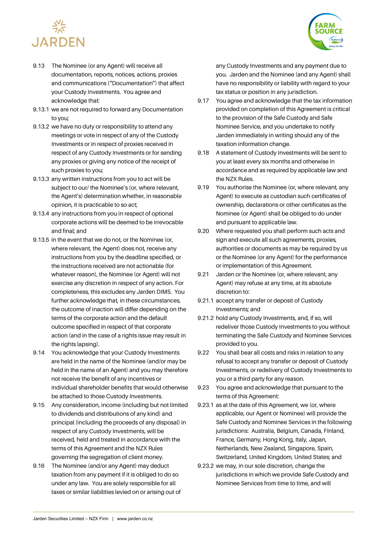



- 9.13 The Nominee (or any Agent) will receive all documentation, reports, notices, actions, proxies and communications ("Documentation") that affect your Custody Investments. You agree and acknowledge that:
- 9.13.1 we are not required to forward any Documentation to you;
- 9.13.2 we have no duty or responsibility to attend any meetings or vote in respect of any of the Custody Investments or in respect of proxies received in respect of any Custody Investments or for sending any proxies or giving any notice of the receipt of such proxies to you;
- 9.13.3 any written instructions from you to act will be subject to our/ the Nominee's (or, where relevant, the Agent's) determination whether, in reasonable opinion, it is practicable to so act;
- 9.13.4 any instructions from you in respect of optional corporate actions will be deemed to be irrevocable and final; and
- 9.13.5 in the event that we do not, or the Nominee (or, where relevant, the Agent) does not, receive any instructions from you by the deadline specified, or the instructions received are not actionable (for whatever reason), the Nominee (or Agent) will not exercise any discretion in respect of any action. For completeness, this excludes any Jarden DIMS. You further acknowledge that, in these circumstances, the outcome of inaction will differ depending on the terms of the corporate action and the default outcome specified in respect of that corporate action (and in the case of a rights issue may result in the rights lapsing).
- 9.14 You acknowledge that your Custody Investments are held in the name of the Nominee (and/or may be held in the name of an Agent) and you may therefore not receive the benefit of any incentives or individual shareholder benefits that would otherwise be attached to those Custody Investments.
- 9.15 Any consideration, income (including but not limited to dividends and distributions of any kind) and principal (including the proceeds of any disposal) in respect of any Custody Investments, will be received, held and treated in accordance with the terms of this Agreement and the NZX Rules governing the segregation of client money.
- 9.16 The Nominee (and/or any Agent) may deduct taxation from any payment if it is obliged to do so under any law. You are solely responsible for all taxes or similar liabilities levied on or arising out of

any Custody Investments and any payment due to you. Jarden and the Nominee (and any Agent) shall have no responsibility or liability with regard to your tax status or position in any jurisdiction.

- 9.17 You agree and acknowledge that the tax information provided on completion of this Agreement is critical to the provision of the Safe Custody and Safe Nominee Service, and you undertake to notify Jarden immediately in writing should any of the taxation information change.
- 9.18 A statement of Custody Investments will be sent to you at least every six months and otherwise in accordance and as required by applicable law and the NZX Rules.
- 9.19 You authorise the Nominee (or, where relevant, any Agent) to execute as custodian such certificates of ownership, declarations or other certificates as the Nominee (or Agent) shall be obliged to do under and pursuant to applicable law.
- 9.20 Where requested you shall perform such acts and sign and execute all such agreements, proxies, authorities or documents as may be required by us or the Nominee (or any Agent) for the performance or implementation of this Agreement.
- 9.21 Jarden or the Nominee (or, where relevant, any Agent) may refuse at any time, at its absolute discretion to:
- 9.21.1 accept any transfer or deposit of Custody Investments; and
- 9.21.2 hold any Custody Investments, and, if so, will redeliver those Custody Investments to you without terminating the Safe Custody and Nominee Services provided to you.
- 9.22 You shall bear all costs and risks in relation to any refusal to accept any transfer or deposit of Custody Investments, or redelivery of Custody Investments to you or a third party for any reason.
- 9.23 You agree and acknowledge that pursuant to the terms of this Agreement:
- 9.23.1 as at the date of this Agreement, we (or, where applicable, our Agent or Nominee) will provide the Safe Custody and Nominee Services in the following jurisdictions: Australia, Belgium, Canada, Finland, France, Germany, Hong Kong, Italy, Japan, Netherlands, New Zealand, Singapore, Spain, Switzerland, United Kingdom, United States; and
- 9.23.2 we may, in our sole discretion, change the jurisdictions in which we provide Safe Custody and Nominee Services from time to time, and will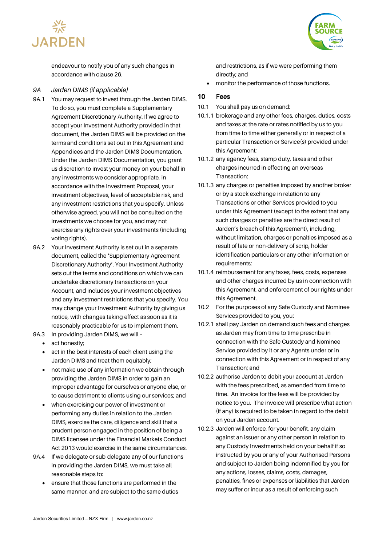



endeavour to notify you of any such changes in accordance with clause 26.

#### *9A Jarden DIMS (if applicable)*

- 9A.1 You may request to invest through the Jarden DIMS. To do so, you must complete a Supplementary Agreement Discretionary Authority. If we agree to accept your Investment Authority provided in that document, the Jarden DIMS will be provided on the terms and conditions set out in this Agreement and Appendices and the Jarden DIMS Documentation. Under the Jarden DIMS Documentation, you grant us discretion to invest your money on your behalf in any investments we consider appropriate, in accordance with the Investment Proposal, your investment objectives, level of acceptable risk, and any investment restrictions that you specify. Unless otherwise agreed, you will not be consulted on the investments we choose for you, and may not exercise any rights over your investments (including voting rights).
- 9A.2 Your Investment Authority is set out in a separate document, called the 'Supplementary Agreement Discretionary Authority'. Your Investment Authority sets out the terms and conditions on which we can undertake discretionary transactions on your Account, and includes your investment objectives and any investment restrictions that you specify. You may change your Investment Authority by giving us notice, with changes taking effect as soon as it is reasonably practicable for us to implement them.
- 9A.3 In providing Jarden DIMS, we will
	- act honestly;
	- act in the best interests of each client using the Jarden DIMS and treat them equitably;
	- not make use of any information we obtain through providing the Jarden DIMS in order to gain an improper advantage for ourselves or anyone else, or to cause detriment to clients using our services; and
	- when exercising our power of investment or performing any duties in relation to the Jarden DIMS, exercise the care, diligence and skill that a prudent person engaged in the position of being a DIMS licensee under the Financial Markets Conduct Act 2013 would exercise in the same circumstances.
- 9A.4 If we delegate or sub-delegate any of our functions in providing the Jarden DIMS, we must take all reasonable steps to:
	- ensure that those functions are performed in the same manner, and are subject to the same duties

and restrictions, as if we were performing them directly; and

• monitor the performance of those functions.

#### 10 Fees

- 10.1 You shall pay us on demand:
- 10.1.1 brokerage and any other fees, charges, duties, costs and taxes at the rate or rates notified by us to you from time to time either generally or in respect of a particular Transaction or Service(s) provided under this Agreement;
- 10.1.2 any agency fees, stamp duty, taxes and other charges incurred in effecting an overseas Transaction;
- 10.1.3 any charges or penalties imposed by another broker or by a stock exchange in relation to any Transactions or other Services provided to you under this Agreement (except to the extent that any such charges or penalties are the direct result of Jarden's breach of this Agreement), including, without limitation, charges or penalties imposed as a result of late or non-delivery of scrip, holder identification particulars or any other information or requirements;
- 10.1.4 reimbursement for any taxes, fees, costs, expenses and other charges incurred by us in connection with this Agreement, and enforcement of our rights under this Agreement.
- 10.2 For the purposes of any Safe Custody and Nominee Services provided to you, you:
- 10.2.1 shall pay Jarden on demand such fees and charges as Jarden may from time to time prescribe in connection with the Safe Custody and Nominee Service provided by it or any Agents under or in connection with this Agreement or in respect of any Transaction; and
- 10.2.2 authorise Jarden to debit your account at Jarden with the fees prescribed, as amended from time to time. An invoice for the fees will be provided by notice to you. The invoice will prescribe what action (if any) is required to be taken in regard to the debit on your Jarden account.
- 10.2.3 Jarden will enforce, for your benefit, any claim against an issuer or any other person in relation to any Custody Investments held on your behalf if so instructed by you or any of your Authorised Persons and subject to Jarden being indemnified by you for any actions, losses, claims, costs, damages, penalties, fines or expenses or liabilities that Jarden may suffer or incur as a result of enforcing such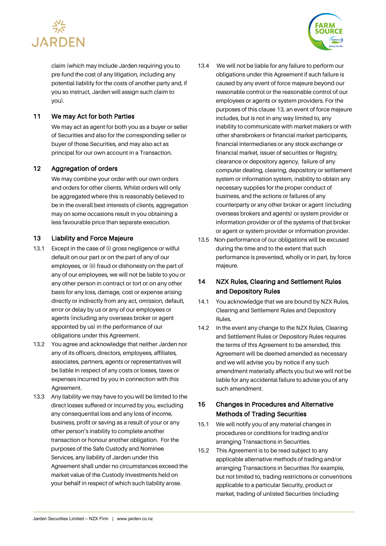



claim (which may include Jarden requiring you to pre-fund the cost of any litigation, including any potential liability for the costs of another party and, if you so instruct, Jarden will assign such claim to you).

## 11 We may Act for both Parties

We may act as agent for both you as a buyer or seller of Securities and also for the corresponding seller or buyer of those Securities, and may also act as principal for our own account in a Transaction.

## 12 Aggregation of orders

We may combine your order with our own orders and orders for other clients. Whilst orders will only be aggregated where this is reasonably believed to be in the overall best interests of clients, aggregation may on some occasions result in you obtaining a less favourable price than separate execution.

## 13 Liability and Force Majeure

- 13.1 Except in the case of (i) gross negligence or wilful default on our part or on the part of any of our employees, or (ii) fraud or dishonesty on the part of any of our employees, we will not be liable to you or any other person in contract or tort or on any other basis for any loss, damage, cost or expense arising directly or indirectly from any act, omission, default, error or delay by us or any of our employees or agents (including any overseas broker or agent appointed by us) in the performance of our obligations under this Agreement.
- 13.2 You agree and acknowledge that neither Jarden nor any of its officers, directors, employees, affiliates, associates, partners, agents or representatives will be liable in respect of any costs or losses, taxes or expenses incurred by you in connection with this Agreement.
- 13.3 Any liability we may have to you will be limited to the direct losses suffered or incurred by you, excluding any consequential loss and any loss of income, business, profit or saving as a result of your or any other person's inability to complete another transaction or honour another obligation. For the purposes of the Safe Custody and Nominee Services, any liability of Jarden under this Agreement shall under no circumstances exceed the market value of the Custody Investments held on your behalf in respect of which such liability arose.
- 13.4 We will not be liable for any failure to perform our obligations under this Agreement if such failure is caused by any event of force majeure beyond our reasonable control or the reasonable control of our employees or agents or system providers. For the purposes of this clause 13, an event of force majeure includes, but is not in any way limited to, any inability to communicate with market makers or with other sharebrokers or financial market participants, financial intermediaries or any stock exchange or financial market, issuer of securities or Registry, clearance or depository agency, failure of any computer dealing, clearing, depository or settlement system or information system, inability to obtain any necessary supplies for the proper conduct of business, and the actions or failures of any counterparty or any other broker or agent (including overseas brokers and agents) or system provider or information provider or of the systems of that broker or agent or system provider or information provider.
- 13.5 Non-performance of our obligations will be excused during the time and to the extent that such performance is prevented, wholly or in part, by force majeure.

## 14 NZX Rules, Clearing and Settlement Rules and Depository Rules

- 14.1 You acknowledge that we are bound by NZX Rules, Clearing and Settlement Rules and Depository Rules.
- 14.2 In the event any change to the NZX Rules, Clearing and Settlement Rules or Depository Rules requires the terms of this Agreement to be amended, this Agreement will be deemed amended as necessary and we will advise you by notice if any such amendment materially affects you but we will not be liable for any accidental failure to advise you of any such amendment.

## 15 Changes in Procedures and Alternative Methods of Trading Securities

- 15.1 We will notify you of any material changes in procedures or conditions for trading and/or arranging Transactions in Securities.
- 15.2 This Agreement is to be read subject to any applicable alternative methods of trading and/or arranging Transactions in Securities (for example, but not limited to, trading restrictions or conventions applicable to a particular Security, product or market, trading of unlisted Securities (including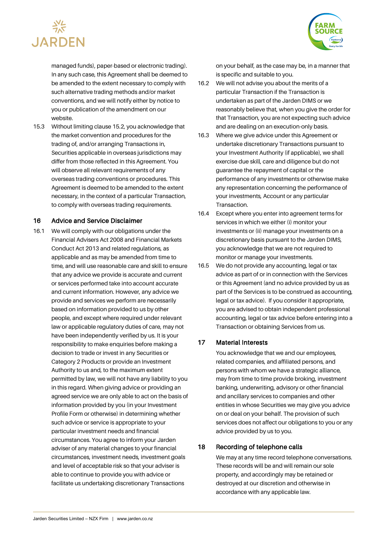



managed funds), paper-based or electronic trading). In any such case, this Agreement shall be deemed to be amended to the extent necessary to comply with such alternative trading methods and/or market conventions, and we will notify either by notice to you or publication of the amendment on our website.

15.3 Without limiting clause 15.2, you acknowledge that the market convention and procedures for the trading of, and/or arranging Transactions in, Securities applicable in overseas jurisdictions may differ from those reflected in this Agreement. You will observe all relevant requirements of any overseas trading conventions or procedures. This Agreement is deemed to be amended to the extent necessary, in the context of a particular Transaction, to comply with overseas trading requirements.

#### 16 Advice and Service Disclaimer

16.1 We will comply with our obligations under the Financial Advisers Act 2008 and Financial Markets Conduct Act 2013 and related regulations, as applicable and as may be amended from time to time, and will use reasonable care and skill to ensure that any advice we provide is accurate and current or services performed take into account accurate and current information. However, any advice we provide and services we perform are necessarily based on information provided to us by other people, and except where required under relevant law or applicable regulatory duties of care, may not have been independently verified by us. It is your responsibility to make enquiries before making a decision to trade or invest in any Securities or Category 2 Products or provide an Investment Authority to us and, to the maximum extent permitted by law, we will not have any liability to you in this regard. When giving advice or providing an agreed service we are only able to act on the basis of information provided by you (in your Investment Profile Form or otherwise) in determining whether such advice or service is appropriate to your particular investment needs and financial circumstances. You agree to inform your Jarden adviser of any material changes to your financial circumstances, investment needs, investment goals and level of acceptable risk so that your adviser is able to continue to provide you with advice or facilitate us undertaking discretionary Transactions

on your behalf, as the case may be, in a manner that is specific and suitable to you.

- 16.2 We will not advise you about the merits of a particular Transaction if the Transaction is undertaken as part of the Jarden DIMS or we reasonably believe that, when you give the order for that Transaction, you are not expecting such advice and are dealing on an execution-only basis.
- 16.3 Where we give advice under this Agreement or undertake discretionary Transactions pursuant to your Investment Authority (if applicable), we shall exercise due skill, care and diligence but do not guarantee the repayment of capital or the performance of any investments or otherwise make any representation concerning the performance of your investments, Account or any particular Transaction.
- 16.4 Except where you enter into agreement terms for services in which we either (i) monitor your investments or (ii) manage your investments on a discretionary basis pursuant to the Jarden DIMS, you acknowledge that we are not required to monitor or manage your investments.
- 16.5 We do not provide any accounting, legal or tax advice as part of or in connection with the Services or this Agreement (and no advice provided by us as part of the Services is to be construed as accounting, legal or tax advice). If you consider it appropriate, you are advised to obtain independent professional accounting, legal or tax advice before entering into a Transaction or obtaining Services from us.

## 17 Material Interests

You acknowledge that we and our employees, related companies, and affiliated persons, and persons with whom we have a strategic alliance, may from time to time provide broking, investment banking, underwriting, advisory or other financial and ancillary services to companies and other entities in whose Securities we may give you advice on or deal on your behalf. The provision of such services does not affect our obligations to you or any advice provided by us to you.

## 18 Recording of telephone calls

We may at any time record telephone conversations. These records will be and will remain our sole property, and accordingly may be retained or destroyed at our discretion and otherwise in accordance with any applicable law.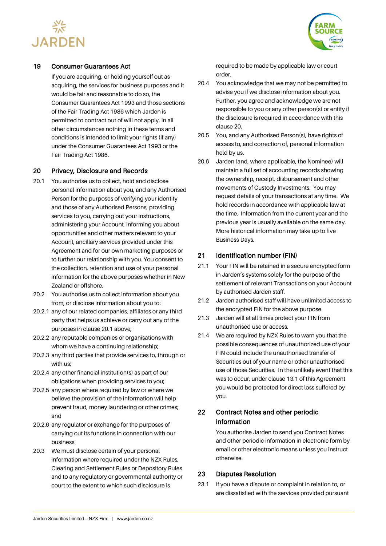



## 19 Consumer Guarantees Act

If you are acquiring, or holding yourself out as acquiring, the services for business purposes and it would be fair and reasonable to do so, the Consumer Guarantees Act 1993 and those sections of the Fair Trading Act 1986 which Jarden is permitted to contract out of will not apply. In all other circumstances nothing in these terms and conditions is intended to limit your rights (if any) under the Consumer Guarantees Act 1993 or the Fair Trading Act 1986.

#### 20 Privacy, Disclosure and Records

- 20.1 You authorise us to collect, hold and disclose personal information about you, and any Authorised Person for the purposes of verifying your identity and those of any Authorised Persons, providing services to you, carrying out your instructions, administering your Account, informing you about opportunities and other matters relevant to your Account, ancillary services provided under this Agreement and for our own marketing purposes or to further our relationship with you. You consent to the collection, retention and use of your personal information for the above purposes whether in New Zealand or offshore.
- 20.2 You authorise us to collect information about you from, or disclose information about you to:
- 20.2.1 any of our related companies, affiliates or any third party that helps us achieve or carry out any of the purposes in clause 20.1 above;
- 20.2.2 any reputable companies or organisations with whom we have a continuing relationship;
- 20.2.3 any third parties that provide services to, through or with us:
- 20.2.4 any other financial institution(s) as part of our obligations when providing services to you;
- 20.2.5 any person where required by law or where we believe the provision of the information will help prevent fraud, money laundering or other crimes; and
- 20.2.6 any regulator or exchange for the purposes of carrying out its functions in connection with our business.
- 20.3 We must disclose certain of your personal information where required under the NZX Rules, Clearing and Settlement Rules or Depository Rules and to any regulatory or governmental authority or court to the extent to which such disclosure is

required to be made by applicable law or court order.

- 20.4 You acknowledge that we may not be permitted to advise you if we disclose information about you. Further, you agree and acknowledge we are not responsible to you or any other person(s) or entity if the disclosure is required in accordance with this clause 20.
- 20.5 You, and any Authorised Person(s), have rights of access to, and correction of, personal information held by us.
- 20.6 Jarden (and, where applicable, the Nominee) will maintain a full set of accounting records showing the ownership, receipt, disbursement and other movements of Custody Investments. You may request details of your transactions at any time. We hold records in accordance with applicable law at the time. Information from the current year and the previous year is usually available on the same day. More historical information may take up to five Business Days.

## 21 Identification number (FIN)

- 21.1 Your FIN will be retained in a secure encrypted form in Jarden's systems solely for the purpose of the settlement of relevant Transactions on your Account by authorised Jarden staff.
- 21.2 Jarden authorised staff will have unlimited access to the encrypted FIN for the above purpose.
- 21.3 Jarden will at all times protect your FIN from unauthorised use or access.
- 21.4 We are required by NZX Rules to warn you that the possible consequences of unauthorized use of your FIN could include the unauthorised transfer of Securities out of your name or other unauthorised use of those Securities. In the unlikely event that this was to occur, under clause 13.1 of this Agreement you would be protected for direct loss suffered by you.

## 22 Contract Notes and other periodic information

You authorise Jarden to send you Contract Notes and other periodic information in electronic form by email or other electronic means unless you instruct otherwise.

#### 23 Disputes Resolution

23.1 If you have a dispute or complaint in relation to, or are dissatisfied with the services provided pursuant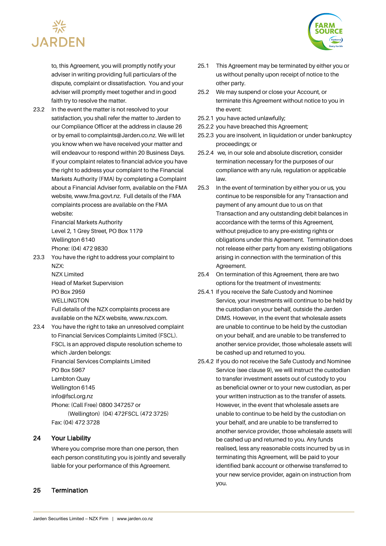

to, this Agreement, you will promptly notify your adviser in writing providing full particulars of the dispute, complaint or dissatisfaction. You and your adviser will promptly meet together and in good faith try to resolve the matter.

23.2 In the event the matter is not resolved to your satisfaction, you shall refer the matter to Jarden to our Compliance Officer at the address in clause 26 or by email to complaints@Jarden.co.nz. We will let you know when we have received your matter and will endeavour to respond within 20 Business Days. If your complaint relates to financial advice you have the right to address your complaint to the Financial Markets Authority (FMA) by completing a Complaint about a Financial Adviser form, available on the FMA website, www.fma.govt.nz. Full details of the FMA complaints process are available on the FMA website:

Financial Markets Authority Level 2, 1 Grey Street, PO Box 1179 Wellington 6140 Phone: (04) 472 9830

- 23.3 You have the right to address your complaint to NZX:
	- NZX Limited Head of Market Supervision PO Box 2959 WELLINGTON Full details of the NZX complaints process are
- available on the NZX website, www.nzx.com. 23.4 You have the right to take an unresolved complaint to Financial Services Complaints Limited (FSCL). FSCL is an approved dispute resolution scheme to which Jarden belongs: Financial Services Complaints Limited PO Box 5967 Lambton Quay Wellington 6145 info@fscl.org.nz Phone: (Call Free) 0800 347257 or (Wellington) (04) 472FSCL (472 3725) Fax: (04) 472 3728

## 24 Your Liability

Where you comprise more than one person, then each person constituting you is jointly and severally liable for your performance of this Agreement.

## 25 Termination

- 25.1 This Agreement may be terminated by either you or us without penalty upon receipt of notice to the other party.
- 25.2 We may suspend or close your Account, or terminate this Agreement without notice to you in the event:
- 25.2.1 you have acted unlawfully;
- 25.2.2 you have breached this Agreement;
- 25.2.3 you are insolvent, in liquidation or under bankruptcy proceedings; or
- 25.2.4 we, in our sole and absolute discretion, consider termination necessary for the purposes of our compliance with any rule, regulation or applicable law.
- 25.3 In the event of termination by either you or us, you continue to be responsible for any Transaction and payment of any amount due to us on that Transaction and any outstanding debit balances in accordance with the terms of this Agreement, without prejudice to any pre-existing rights or obligations under this Agreement. Termination does not release either party from any existing obligations arising in connection with the termination of this Agreement.
- 25.4 On termination of this Agreement, there are two options for the treatment of investments:
- 25.4.1 If you receive the Safe Custody and Nominee Service, your investments will continue to be held by the custodian on your behalf, outside the Jarden DIMS. However, in the event that wholesale assets are unable to continue to be held by the custodian on your behalf, and are unable to be transferred to another service provider, those wholesale assets will be cashed up and returned to you.
- 25.4.2 If you do not receive the Safe Custody and Nominee Service (see clause 9), we will instruct the custodian to transfer investment assets out of custody to you as beneficial owner or to your new custodian, as per your written instruction as to the transfer of assets. However, in the event that wholesale assets are unable to continue to be held by the custodian on your behalf, and are unable to be transferred to another service provider, those wholesale assets will be cashed up and returned to you. Any funds realised, less any reasonable costs incurred by us in terminating this Agreement, will be paid to your identified bank account or otherwise transferred to your new service provider, again on instruction from you.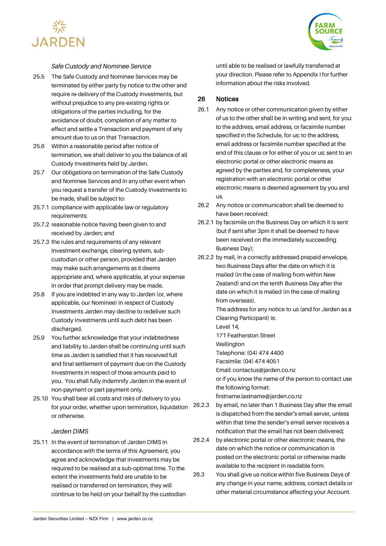



#### *Safe Custody and Nominee Service*

- 25.5 The Safe Custody and Nominee Services may be terminated by either party by notice to the other and require re-delivery of the Custody Investments, but without prejudice to any pre-existing rights or obligations of the parties including, for the avoidance of doubt, completion of any matter to effect and settle a Transaction and payment of any amount due to us on that Transaction.
- 25.6 Within a reasonable period after notice of termination, we shall deliver to you the balance of all Custody Investments held by Jarden.
- 25.7 Our obligations on termination of the Safe Custody and Nominee Services and in any other event when you request a transfer of the Custody Investments to be made, shall be subject to:
- 25.7.1 compliance with applicable law or regulatory requirements;
- 25.7.2 reasonable notice having been given to and received by Jarden; and
- 25.7.3 the rules and requirements of any relevant investment exchange, clearing system, subcustodian or other person, provided that Jarden may make such arrangements as it deems appropriate and, where applicable, at your expense in order that prompt delivery may be made.
- 25.8 If you are indebted in any way to Jarden (or, where applicable, our Nominee) in respect of Custody Investments Jarden may decline to redeliver such Custody Investments until such debt has been discharged.
- 25.9 You further acknowledge that your indebtedness and liability to Jarden shall be continuing until such time as Jarden is satisfied that it has received full and final settlement of payment due on the Custody Investments in respect of those amounts paid to you. You shall fully indemnify Jarden in the event of non-payment or part payment only.
- 25.10 You shall bear all costs and risks of delivery to you for your order, whether upon termination, liquidation or otherwise.

#### *Jarden DIMS*

25.11 In the event of termination of Jarden DIMS in accordance with the terms of this Agreement, you agree and acknowledge that investments may be required to be realised at a sub-optimal time. To the extent the investments held are unable to be realised or transferred on termination, they will continue to be held on your behalf by the custodian

until able to be realised or lawfully transferred at your direction. Please refer to Appendix I for further information about the risks involved.

#### 26 Notices

- 26.1 Any notice or other communication given by either of us to the other shall be in writing and sent, for you: to the address, email address, or facsimile number specified in the Schedule, for us: to the address, email address or facsimile number specified at the end of this clause or for either of you or us: sent to an electronic portal or other electronic means as agreed by the parties and, for completeness, your registration with an electronic portal or other electronic means is deemed agreement by you and us.
- 26.2 Any notice or communication shall be deemed to have been received:
- 26.2.1 by facsimile on the Business Day on which it is sent (but if sent after 3pm it shall be deemed to have been received on the immediately succeeding Business Day);
- 26.2.2 by mail, in a correctly addressed prepaid envelope, two Business Days after the date on which it is mailed (in the case of mailing from within New Zealand) and on the tenth Business Day after the date on which it is mailed (in the case of mailing from overseas).

The address for any notice to us (and for Jarden as a Clearing Participant) is:

Level 14,

171 Featherston Street

Wellington

Telephone: (04) 474 4400

Facsimile: (04) 474 4051

Email: contactus@jarden.co.nz

or if you know the name of the person to contact use the following format:

firstname.lastname@jarden.co.nz

26.2.3 by email, no later than 1 Business Day after the email is dispatched from the sender's email server, unless within that time the sender's email server receives a notification that the email has not been delivered;

- 26.2.4 by electronic portal or other electronic means, the date on which the notice or communication is posted on the electronic portal or otherwise made available to the recipient in readable form.
- 26.3 You shall give us notice within five Business Days of any change in your name, address, contact details or other material circumstance affecting your Account.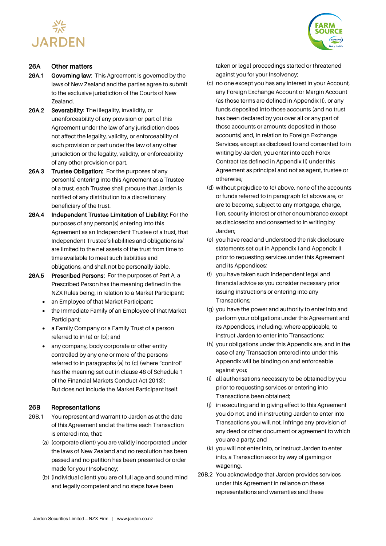



## 26A Other matters

- 26A.1 Governing law: This Agreement is governed by the laws of New Zealand and the parties agree to submit to the exclusive jurisdiction of the Courts of New Zealand.
- 26A.2 Severability: The illegality, invalidity, or unenforceability of any provision or part of this Agreement under the law of any jurisdiction does not affect the legality, validity, or enforceability of such provision or part under the law of any other jurisdiction or the legality, validity, or enforceability of any other provision or part.
- 26A.3 Trustee Obligation: For the purposes of any person(s) entering into this Agreement as a Trustee of a trust, each Trustee shall procure that Jarden is notified of any distribution to a discretionary beneficiary of the trust.
- 26A.4 Independent Trustee Limitation of Liability: For the purposes of any person(s) entering into this Agreement as an Independent Trustee of a trust, that Independent Trustee's liabilities and obligations is/ are limited to the net assets of the trust from time to time available to meet such liabilities and obligations, and shall not be personally liable.
- 26A.5 Prescribed Persons: For the purposes of Part A, a Prescribed Person has the meaning defined in the NZX Rules being, in relation to a Market Participant:
	- an Employee of that Market Participant;
	- the Immediate Family of an Employee of that Market Participant;
	- a Family Company or a Family Trust of a person referred to in (a) or (b); and
	- any company, body corporate or other entity controlled by any one or more of the persons referred to in paragraphs (a) to (c) (where "control" has the meaning set out in clause 48 of Schedule 1 of the Financial Markets Conduct Act 2013); But does not include the Market Participant itself.

#### 26B Representations

- 26B.1 You represent and warrant to Jarden as at the date of this Agreement and at the time each Transaction is entered into, that:
	- (a) (corporate client) you are validly incorporated under the laws of New Zealand and no resolution has been passed and no petition has been presented or order made for your Insolvency;
	- (b) (individual client) you are of full age and sound mind and legally competent and no steps have been

taken or legal proceedings started or threatened against you for your Insolvency;

- (c) no one except you has any interest in your Account, any Foreign Exchange Account or Margin Account (as those terms are defined in Appendix II), or any funds deposited into those accounts (and no trust has been declared by you over all or any part of those accounts or amounts deposited in those accounts) and, in relation to Foreign Exchange Services, except as disclosed to and consented to in writing by Jarden, you enter into each Forex Contract (as defined in Appendix II) under this Agreement as principal and not as agent, trustee or otherwise;
- (d) without prejudice to (c) above, none of the accounts or funds referred to in paragraph (c) above are, or are to become, subject to any mortgage, charge, lien, security interest or other encumbrance except as disclosed to and consented to in writing by Jarden;
- (e) you have read and understood the risk disclosure statements set out in Appendix I and Appendix II prior to requesting services under this Agreement and its Appendices;
- (f) you have taken such independent legal and financial advice as you consider necessary prior issuing instructions or entering into any Transactions;
- (g) you have the power and authority to enter into and perform your obligations under this Agreement and its Appendices, including, where applicable, to instruct Jarden to enter into Transactions;
- (h) your obligations under this Appendix are, and in the case of any Transaction entered into under this Appendix will be binding on and enforceable against you;
- (i) all authorisations necessary to be obtained by you prior to requesting services or entering into Transactions been obtained;
- (j) in executing and in giving effect to this Agreement you do not, and in instructing Jarden to enter into Transactions you will not, infringe any provision of any deed or other document or agreement to which you are a party; and
- (k) you will not enter into, or instruct Jarden to enter into, a Transaction as or by way of gaming or wagering.
- 26B.2 You acknowledge that Jarden provides services under this Agreement in reliance on these representations and warranties and these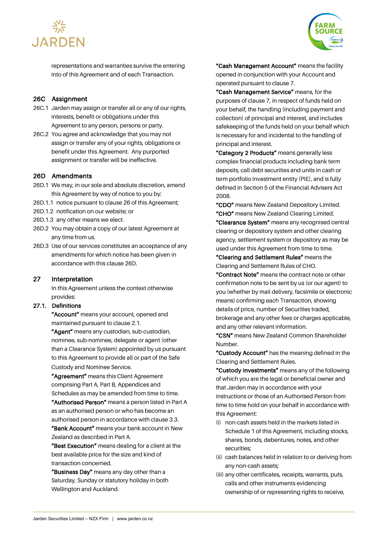



representations and warranties survive the entering into of this Agreement and of each Transaction.

#### 26C Assignment

- 26C.1 Jarden may assign or transfer all or any of our rights, interests, benefit or obligations under this Agreement to any person, persons or party.
- 26C.2 You agree and acknowledge that you may not assign or transfer any of your rights, obligations or benefit under this Agreement. Any purported assignment or transfer will be ineffective.

#### 26D Amendments

- 26D.1 We may, in our sole and absolute discretion, amend this Agreement by way of notice to you by:
- 26D.1.1 notice pursuant to clause 26 of this Agreement;
- 26D.1.2 notification on our website; or
- 26D.1.3 any other means we elect.
- 26D.2 You may obtain a copy of our latest Agreement at any time from us.
- 26D.3 Use of our services constitutes an acceptance of any amendments for which notice has been given in accordance with this clause 26D.

#### 27 Interpretation

In this Agreement unless the context otherwise provides:

#### 27.1. Definitions

"Account" means your account, opened and maintained pursuant to clause 2.1.

"Agent" means any custodian, sub-custodian, nominee, sub-nominee, delegate or agent (other than a Clearance System) appointed by us pursuant to this Agreement to provide all or part of the Safe Custody and Nominee Service.

"Agreement" means this Client Agreement comprising Part A, Part B, Appendices and Schedules as may be amended from time to time.

"Authorised Person" means a person listed in Part A as an authorised person or who has become an authorised person in accordance with clause 3.3.

"Bank Account" means your bank account in New Zealand as described in Part A.

"Best Execution" means dealing for a client at the best available price for the size and kind of transaction concerned.

"Business Day" means any day other than a Saturday, Sunday or statutory holiday in both Wellington and Auckland.

"Cash Management Account" means the facility opened in conjunction with your Account and operated pursuant to clause 7.

"Cash Management Service" means, for the purposes of clause 7, in respect of funds held on your behalf, the handling (including payment and collection) of principal and interest, and includes safekeeping of the funds held on your behalf which is necessary for and incidental to the handling of principal and interest.

"Category 2 Products" means generally less complex financial products including bank term deposits, call debt securities and units in cash or term portfolio investment entity (PIE), and is fully defined in Section 5 of the Financial Advisers Act 2008.

"CDO" means New Zealand Depository Limited. "CHO" means New Zealand Clearing Limited.

"Clearance System" means any recognised central clearing or depository system and other clearing agency, settlement system or depository as may be used under this Agreement from time to time.

"Clearing and Settlement Rules" means the Clearing and Settlement Rules of CHO.

"Contract Note" means the contract note or other confirmation note to be sent by us (or our agent) to you (whether by mail delivery, facsimile or electronic means) confirming each Transaction, showing details of price, number of Securities traded, brokerage and any other fees or charges applicable, and any other relevant information.

"CSN" means New Zealand Common Shareholder Number.

"Custody Account" has the meaning defined in the Clearing and Settlement Rules.

"Custody Investments" means any of the following of which you are the legal or beneficial owner and that Jarden may in accordance with your instructions or those of an Authorised Person from time to time hold on your behalf in accordance with this Agreement:

- (i) non-cash assets held in the markets listed in Schedule 1 of this Agreement, including stocks, shares, bonds, debentures, notes, and other securities;
- (ii) cash balances held in relation to or deriving from any non-cash assets;
- (iii) any other certificates, receipts, warrants, puts, calls and other instruments evidencing ownership of or representing rights to receive,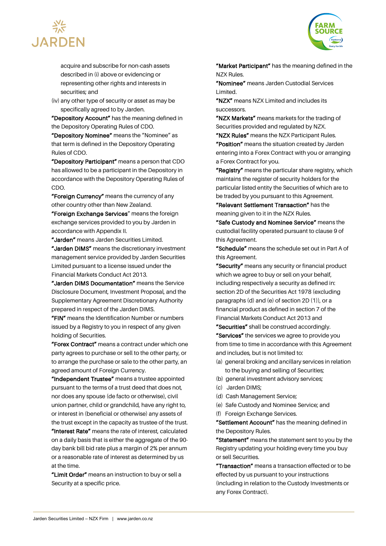



acquire and subscribe for non-cash assets described in (i) above or evidencing or representing other rights and interests in securities; and

(iv) any other type of security or asset as may be specifically agreed to by Jarden.

"Depository Account" has the meaning defined in the Depository Operating Rules of CDO.

"Depository Nominee" means the "Nominee" as that term is defined in the Depository Operating Rules of CDO.

"Depository Participant" means a person that CDO has allowed to be a participant in the Depository in accordance with the Depository Operating Rules of CDO.

"Foreign Currency" means the currency of any other country other than New Zealand.

"Foreign Exchange Services" means the foreign exchange services provided to you by Jarden in accordance with Appendix II.

"Jarden" means Jarden Securities Limited.

"Jarden DIMS" means the discretionary investment management service provided by Jarden Securities Limited pursuant to a license issued under the Financial Markets Conduct Act 2013.

"Jarden DIMS Documentation" means the Service Disclosure Document, Investment Proposal, and the Supplementary Agreement Discretionary Authority prepared in respect of the Jarden DIMS.

"FIN" means the Identification Number or numbers issued by a Registry to you in respect of any given holding of Securities.

"Forex Contract" means a contract under which one party agrees to purchase or sell to the other party, or to arrange the purchase or sale to the other party, an agreed amount of Foreign Currency.

"Independent Trustee" means a trustee appointed pursuant to the terms of a trust deed that does not, nor does any spouse (de facto or otherwise), civil union partner, child or grandchild, have any right to, or interest in (beneficial or otherwise) any assets of the trust except in the capacity as trustee of the trust. "Interest Rate" means the rate of interest, calculated on a daily basis that is either the aggregate of the 90 day bank bill bid rate plus a margin of 2% per annum or a reasonable rate of interest as determined by us at the time.

"Limit Order" means an instruction to buy or sell a Security at a specific price.

"Market Participant" has the meaning defined in the NZX Rules.

"Nominee" means Jarden Custodial Services Limited.

"NZX" means NZX Limited and includes its successors.

"NZX Markets" means markets for the trading of Securities provided and regulated by NZX.

"NZX Rules" means the NZX Participant Rules. "Position" means the situation created by Jarden entering into a Forex Contract with you or arranging a Forex Contract for you.

"Registry" means the particular share registry, which maintains the register of security holders for the particular listed entity the Securities of which are to be traded by you pursuant to this Agreement.

"Relevant Settlement Transaction" has the meaning given to it in the NZX Rules.

"Safe Custody and Nominee Service" means the custodial facility operated pursuant to clause 9 of this Agreement.

"Schedule" means the schedule set out in Part A of this Agreement.

"Security" means any security or financial product which we agree to buy or sell on your behalf, including respectively a security as defined in: section 2D of the Securities Act 1978 (excluding paragraphs (d) and (e) of section 2D (1)), or a financial product as defined in section 7 of the Financial Markets Conduct Act 2013 and

"Securities" shall be construed accordingly. "Services" the services we agree to provide you from time to time in accordance with this Agreement and includes, but is not limited to:

- (a) general broking and ancillary services in relation to the buying and selling of Securities;
- (b) general investment advisory services;
- (c) Jarden DIMS;
- (d) Cash Management Service;
- (e) Safe Custody and Nominee Service; and
- (f) Foreign Exchange Services.

"Settlement Account" has the meaning defined in the Depository Rules.

"Statement" means the statement sent to you by the Registry updating your holding every time you buy or sell Securities.

"Transaction" means a transaction effected or to be effected by us pursuant to your instructions (including in relation to the Custody Investments or any Forex Contract).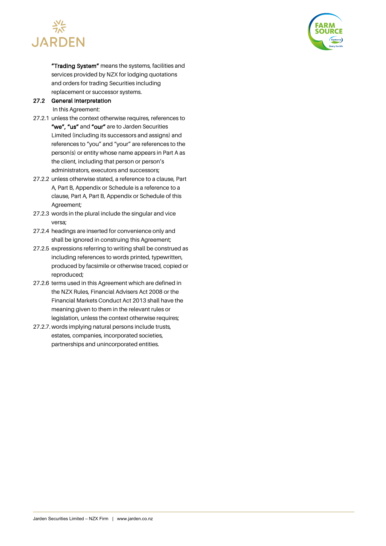



"Trading System" means the systems, facilities and services provided by NZX for lodging quotations and orders for trading Securities including replacement or successor systems.

#### 27.2 General Interpretation In this Agreement:

- 27.2.1 unless the context otherwise requires, references to "we", "us" and "our" are to Jarden Securities Limited (including its successors and assigns) and references to "you" and "your" are references to the person(s) or entity whose name appears in Part A as the client, including that person or person's administrators, executors and successors;
- 27.2.2 unless otherwise stated, a reference to a clause, Part A, Part B, Appendix or Schedule is a reference to a clause, Part A, Part B, Appendix or Schedule of this Agreement;
- 27.2.3 words in the plural include the singular and vice versa;
- 27.2.4 headings are inserted for convenience only and shall be ignored in construing this Agreement;
- 27.2.5 expressions referring to writing shall be construed as including references to words printed, typewritten, produced by facsimile or otherwise traced, copied or reproduced;
- 27.2.6 terms used in this Agreement which are defined in the NZX Rules, Financial Advisers Act 2008 or the Financial Markets Conduct Act 2013 shall have the meaning given to them in the relevant rules or legislation, unless the context otherwise requires;
- 27.2.7. words implying natural persons include trusts, estates, companies, incorporated societies, partnerships and unincorporated entities.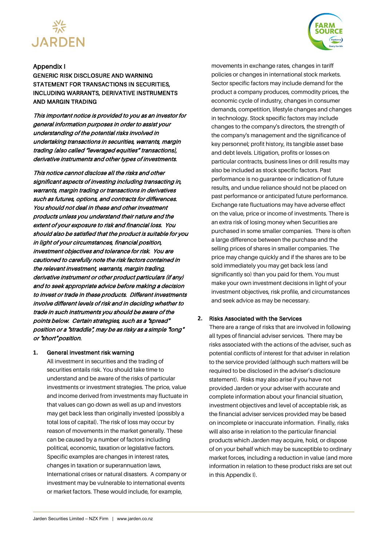



### Appendix I

GENERIC RISK DISCLOSURE AND WARNING STATEMENT FOR TRANSACTIONS IN SECURITIES, INCLUDING WARRANTS, DERIVATIVE INSTRUMENTS AND MARGIN TRADING

This important notice is provided to you as an investor for general information purposes in order to assist your understanding of the potential risks involved in undertaking transactions in securities, warrants, margin trading (also called "leveraged equities" transactions), derivative instruments and other types of investments.

This notice cannot disclose all the risks and other significant aspects of investing including transacting in, warrants, margin trading or transactions in derivatives such as futures, options, and contracts for differences. You should not deal in these and other investment products unless you understand their nature and the extent of your exposure to risk and financial loss. You should also be satisfied that the product is suitable for you in light of your circumstances, financial position, investment objectives and tolerance for risk. You are cautioned to carefully note the risk factors contained in the relevant investment, warrants, margin trading, derivative instrument or other product particulars (if any) and to seek appropriate advice before making a decision to invest or trade in these products. Different investments involve different levels of risk and in deciding whether to trade in such instruments you should be aware of the points below. Certain strategies, such as a "spread" position or a "straddle", may be as risky as a simple "long" or "short" position.

#### **1.** General investment risk warning

All investment in securities and the trading of securities entails risk. You should take time to understand and be aware of the risks of particular investments or investment strategies. The price, value and income derived from investments may fluctuate in that values can go down as well as up and investors may get back less than originally invested (possibly a total loss of capital). The risk of loss may occur by reason of movements in the market generally. These can be caused by a number of factors including political, economic, taxation or legislative factors. Specific examples are changes in interest rates, changes in taxation or superannuation laws, International crises or natural disasters. A company or investment may be vulnerable to international events or market factors. These would include, for example,

movements in exchange rates, changes in tariff policies or changes in international stock markets. Sector specific factors may include demand for the product a company produces, commodity prices, the economic cycle of industry, changes in consumer demands, competition, lifestyle changes and changes in technology. Stock specific factors may include changes to the company's directors, the strength of the company's management and the significance of key personnel; profit history, its tangible asset base and debt levels. Litigation, profits or losses on particular contracts, business lines or drill results may also be included as stock specific factors. Past performance is no guarantee or indication of future results, and undue reliance should not be placed on past performance or anticipated future performance. Exchange rate fluctuations may have adverse effect on the value, price or income of investments. There is an extra risk of losing money when Securities are purchased in some smaller companies. There is often a large difference between the purchase and the selling prices of shares in smaller companies. The price may change quickly and if the shares are to be sold immediately you may get back less (and significantly so) than you paid for them. You must make your own investment decisions in light of your investment objectives, risk profile, and circumstances and seek advice as may be necessary.

#### **2.** Risks Associated with the Services

There are a range of risks that are involved in following all types of financial adviser services. There may be risks associated with the actions of the adviser, such as potential conflicts of interest for that adviser in relation to the service provided (although such matters will be required to be disclosed in the adviser's disclosure statement). Risks may also arise if you have not provided Jarden or your adviser with accurate and complete information about your financial situation, investment objectives and level of acceptable risk, as the financial adviser services provided may be based on incomplete or inaccurate information. Finally, risks will also arise in relation to the particular financial products which Jarden may acquire, hold, or dispose of on your behalf which may be susceptible to ordinary market forces, including a reduction in value (and more information in relation to these product risks are set out in this Appendix I).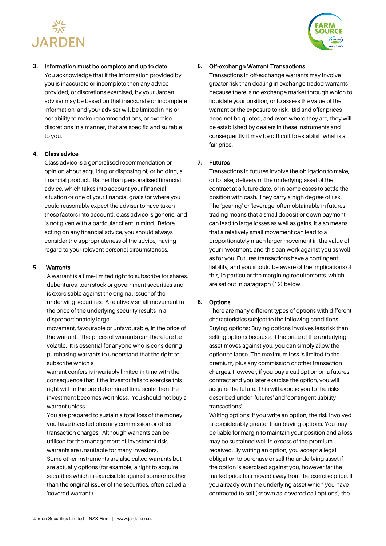



#### **3.** Information must be complete and up to date

You acknowledge that if the information provided by you is inaccurate or incomplete then any advice provided, or discretions exercised, by your Jarden adviser may be based on that inaccurate or incomplete information, and your adviser will be limited in his or her ability to make recommendations, or exercise discretions in a manner, that are specific and suitable to you.

#### **4.** Class advice

Class advice is a generalised recommendation or opinion about acquiring or disposing of, or holding, a financial product. Rather than personalised financial advice, which takes into account your financial situation or one of your financial goals (or where you could reasonably expect the adviser to have taken these factors into account), class advice is generic, and is not given with a particular client in mind. Before acting on any financial advice, you should always consider the appropriateness of the advice, having regard to your relevant personal circumstances.

#### **5.** Warrants

A warrant is a time-limited right to subscribe for shares, debentures, loan stock or government securities and is exercisable against the original issuer of the underlying securities. A relatively small movement in the price of the underlying security results in a disproportionately large

movement, favourable or unfavourable, in the price of the warrant. The prices of warrants can therefore be volatile. It is essential for anyone who is considering purchasing warrants to understand that the right to subscribe which a

warrant confers is invariably limited in time with the consequence that if the investor fails to exercise this right within the pre-determined time-scale then the investment becomes worthless. You should not buy a warrant unless

You are prepared to sustain a total loss of the money you have invested plus any commission or other transaction charges. Although warrants can be utilised for the management of investment risk, warrants are unsuitable for many investors. Some other instruments are also called warrants but are actually options (for example, a right to acquire securities which is exercisable against someone other than the original issuer of the securities, often called a 'covered warrant').

#### **6.** Off-exchange Warrant Transactions

Transactions in off-exchange warrants may involve greater risk than dealing in exchange traded warrants because there is no exchange market through which to liquidate your position, or to assess the value of the warrant or the exposure to risk. Bid and offer prices need not be quoted, and even where they are, they will be established by dealers in these instruments and consequently it may be difficult to establish what is a fair price.

#### **7.** Futures

Transactions in futures involve the obligation to make, or to take, delivery of the underlying asset of the contract at a future date, or in some cases to settle the position with cash. They carry a high degree of risk. The 'gearing' or 'leverage' often obtainable in futures trading means that a small deposit or down payment can lead to large losses as well as gains. It also means that a relatively small movement can lead to a proportionately much larger movement in the value of your investment, and this can work against you as well as for you. Futures transactions have a contingent liability, and you should be aware of the implications of this, in particular the margining requirements, which are set out in paragraph (12) below.

#### **8.** Options

There are many different types of options with different characteristics subject to the following conditions. Buying options: Buying options involves less risk than selling options because, if the price of the underlying asset moves against you, you can simply allow the option to lapse. The maximum loss is limited to the premium, plus any commission or other transaction charges. However, if you buy a call option on a futures contract and you later exercise the option, you will acquire the future. This will expose you to the risks described under 'futures' and 'contingent liability transactions'.

Writing options: If you write an option, the risk involved is considerably greater than buying options. You may be liable for margin to maintain your position and a loss may be sustained well in excess of the premium received. By writing an option, you accept a legal obligation to purchase or sell the underlying asset if the option is exercised against you, however far the market price has moved away from the exercise price. If you already own the underlying asset which you have contracted to sell (known as 'covered call options') the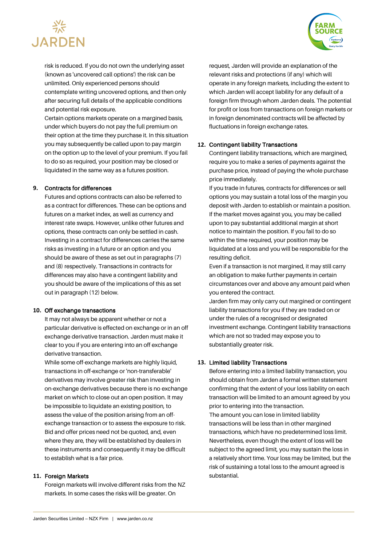



risk is reduced. If you do not own the underlying asset (known as 'uncovered call options') the risk can be unlimited. Only experienced persons should contemplate writing uncovered options, and then only after securing full details of the applicable conditions and potential risk exposure.

Certain options markets operate on a margined basis, under which buyers do not pay the full premium on their option at the time they purchase it. In this situation you may subsequently be called upon to pay margin on the option up to the level of your premium. If you fail to do so as required, your position may be closed or liquidated in the same way as a futures position.

#### **9.** Contracts for differences

Futures and options contracts can also be referred to as a contract for differences. These can be options and futures on a market index, as well as currency and interest rate swaps. However, unlike other futures and options, these contracts can only be settled in cash. Investing in a contract for differences carries the same risks as investing in a future or an option and you should be aware of these as set out in paragraphs (7) and (8) respectively. Transactions in contracts for differences may also have a contingent liability and you should be aware of the implications of this as set out in paragraph (12) below.

#### **10.** Off exchange transactions

It may not always be apparent whether or not a particular derivative is effected on exchange or in an off exchange derivative transaction. Jarden must make it clear to you if you are entering into an off exchange derivative transaction.

While some off-exchange markets are highly liquid, transactions in off-exchange or 'non-transferable' derivatives may involve greater risk than investing in on-exchange derivatives because there is no exchange market on which to close out an open position. It may be impossible to liquidate an existing position, to assess the value of the position arising from an offexchange transaction or to assess the exposure to risk. Bid and offer prices need not be quoted, and, even where they are, they will be established by dealers in these instruments and consequently it may be difficult to establish what is a fair price.

#### **11.** Foreign Markets

Foreign markets will involve different risks from the NZ markets. In some cases the risks will be greater. On

request, Jarden will provide an explanation of the relevant risks and protections (if any) which will operate in any foreign markets, including the extent to which Jarden will accept liability for any default of a foreign firm through whom Jarden deals. The potential for profit or loss from transactions on foreign markets or in foreign denominated contracts will be affected by fluctuations in foreign exchange rates.

#### **12.** Contingent liability Transactions

Contingent liability transactions, which are margined, require you to make a series of payments against the purchase price, instead of paying the whole purchase price immediately.

If you trade in futures, contracts for differences or sell options you may sustain a total loss of the margin you deposit with Jarden to establish or maintain a position. If the market moves against you, you may be called upon to pay substantial additional margin at short notice to maintain the position. If you fail to do so within the time required, your position may be liquidated at a loss and you will be responsible for the resulting deficit.

Even if a transaction is not margined, it may still carry an obligation to make further payments in certain circumstances over and above any amount paid when you entered the contract.

Jarden firm may only carry out margined or contingent liability transactions for you if they are traded on or under the rules of a recognised or designated investment exchange. Contingent liability transactions which are not so traded may expose you to substantially greater risk.

#### **13.** Limited liability Transactions

Before entering into a limited liability transaction, you should obtain from Jarden a formal written statement confirming that the extent of your loss liability on each transaction will be limited to an amount agreed by you prior to entering into the transaction. The amount you can lose in limited liability transactions will be less than in other margined transactions, which have no predetermined loss limit. Nevertheless, even though the extent of loss will be subject to the agreed limit, you may sustain the loss in a relatively short time. Your loss may be limited, but the risk of sustaining a total loss to the amount agreed is substantial.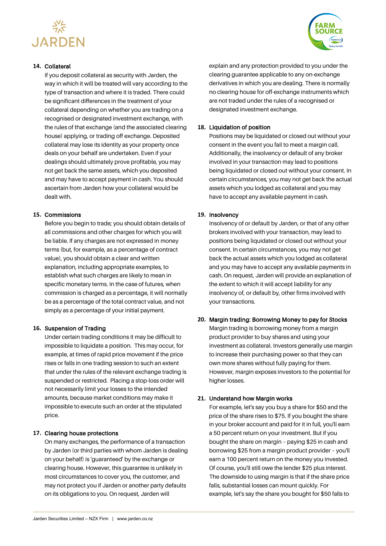



#### **14.** Collateral

If you deposit collateral as security with Jarden, the way in which it will be treated will vary according to the type of transaction and where it is traded. There could be significant differences in the treatment of your collateral depending on whether you are trading on a recognised or designated investment exchange, with the rules of that exchange (and the associated clearing house) applying, or trading off exchange. Deposited collateral may lose its identity as your property once deals on your behalf are undertaken. Even if your dealings should ultimately prove profitable, you may not get back the same assets, which you deposited and may have to accept payment in cash. You should ascertain from Jarden how your collateral would be dealt with.

#### **15.** Commissions

Before you begin to trade; you should obtain details of all commissions and other charges for which you will be liable. If any charges are not expressed in money terms (but, for example, as a percentage of contract value), you should obtain a clear and written explanation, including appropriate examples, to establish what such charges are likely to mean in specific monetary terms. In the case of futures, when commission is charged as a percentage, it will normally be as a percentage of the total contract value, and not simply as a percentage of your initial payment.

#### **16.** Suspension of Trading

Under certain trading conditions it may be difficult to impossible to liquidate a position. This may occur, for example, at times of rapid price movement if the price rises or falls in one trading session to such an extent that under the rules of the relevant exchange trading is suspended or restricted. Placing a stop-loss order will not necessarily limit your losses to the intended amounts, because market conditions may make it impossible to execute such an order at the stipulated price.

#### **17.** Clearing house protections

On many exchanges, the performance of a transaction by Jarden (or third parties with whom Jarden is dealing on your behalf) is 'guaranteed' by the exchange or clearing house. However, this guarantee is unlikely in most circumstances to cover you, the customer, and may not protect you if Jarden or another party defaults on its obligations to you. On request, Jarden will

explain and any protection provided to you under the clearing guarantee applicable to any on-exchange derivatives in which you are dealing. There is normally no clearing house for off-exchange instruments which are not traded under the rules of a recognised or designated investment exchange.

#### **18.** Liquidation of position

Positions may be liquidated or closed out without your consent in the event you fail to meet a margin call. Additionally, the insolvency or default of any broker involved in your transaction may lead to positions being liquidated or closed out without your consent. In certain circumstances, you may not get back the actual assets which you lodged as collateral and you may have to accept any available payment in cash.

#### **19.** Insolvency

Insolvency of or default by Jarden, or that of any other brokers involved with your transaction, may lead to positions being liquidated or closed out without your consent. In certain circumstances, you may not get back the actual assets which you lodged as collateral and you may have to accept any available payments in cash. On request, Jarden will provide an explanation of the extent to which it will accept liability for any insolvency of, or default by, other firms involved with your transactions.

#### **20.** Margin trading: Borrowing Money to pay for Stocks

Margin trading is borrowing money from a margin product provider to buy shares and using your investment as collateral. Investors generally use margin to increase their purchasing power so that they can own more shares without fully paying for them. However, margin exposes investors to the potential for higher losses.

#### **21.** Understand how Margin works

For example, let's say you buy a share for \$50 and the price of the share rises to \$75. If you bought the share in your broker account and paid for it in full, you'll earn a 50 percent return on your investment. But if you bought the share on margin – paying \$25 in cash and borrowing \$25 from a margin product provider – you'll earn a 100 percent return on the money you invested. Of course, you'll still owe the lender \$25 plus interest. The downside to using margin is that if the share price falls, substantial losses can mount quickly. For example, let's say the share you bought for \$50 falls to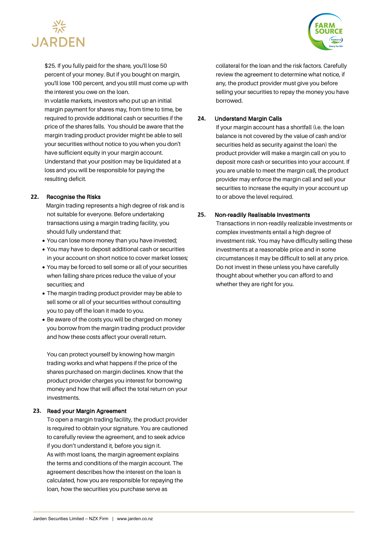



\$25. If you fully paid for the share, you'll lose 50 percent of your money. But if you bought on margin, you'll lose 100 percent, and you still must come up with the interest you owe on the loan.

 In volatile markets, investors who put up an initial margin payment for shares may, from time to time, be required to provide additional cash or securities if the price of the shares falls. You should be aware that the margin trading product provider might be able to sell your securities without notice to you when you don't have sufficient equity in your margin account. Understand that your position may be liquidated at a loss and you will be responsible for paying the resulting deficit.

#### **22.** Recognise the Risks

Margin trading represents a high degree of risk and is not suitable for everyone. Before undertaking transactions using a margin trading facility, you should fully understand that:

- You can lose more money than you have invested;
- You may have to deposit additional cash or securities in your account on short notice to cover market losses;
- You may be forced to sell some or all of your securities when falling share prices reduce the value of your securities; and
- The margin trading product provider may be able to sell some or all of your securities without consulting you to pay off the loan it made to you.
- Be aware of the costs you will be charged on money you borrow from the margin trading product provider and how these costs affect your overall return.

You can protect yourself by knowing how margin trading works and what happens if the price of the shares purchased on margin declines. Know that the product provider charges you interest for borrowing money and how that will affect the total return on your investments.

#### **23.** Read your Margin Agreement

To open a margin trading facility, the product provider is required to obtain your signature. You are cautioned to carefully review the agreement, and to seek advice if you don't understand it, before you sign it. As with most loans, the margin agreement explains the terms and conditions of the margin account. The agreement describes how the interest on the loan is calculated, how you are responsible for repaying the loan, how the securities you purchase serve as

collateral for the loan and the risk factors. Carefully review the agreement to determine what notice, if any, the product provider must give you before selling your securities to repay the money you have borrowed.

#### **24.** Understand Margin Calls

If your margin account has a shortfall (i.e. the loan balance is not covered by the value of cash and/or securities held as security against the loan) the product provider will make a margin call on you to deposit more cash or securities into your account. If you are unable to meet the margin call, the product provider may enforce the margin call and sell your securities to increase the equity in your account up to or above the level required.

#### **25.** Non-readily Realisable Investments

Transactions in non-readily realizable investments or complex investments entail a high degree of investment risk. You may have difficulty selling these investments at a reasonable price and in some circumstances it may be difficult to sell at any price. Do not invest in these unless you have carefully thought about whether you can afford to and whether they are right for you.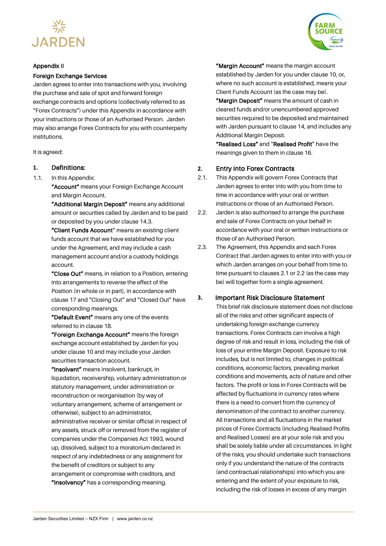



#### Appendix II

#### Foreign Exchange Services

Jarden agrees to enter into transactions with you, involving the purchase and sale of spot and forward foreign exchange contracts and options (collectively referred to as

"Forex Contracts") under this Appendix in accordance with your instructions or those of an Authorised Person. Jarden may also arrange Forex Contracts for you with counterparty institutions.

#### It is agreed:

#### **1.** Definitions:

- 1.1. In this Appendix:
	- "Account" means your Foreign Exchange Account and Margin Account.

"Additional Margin Deposit" means any additional amount or securities called by Jarden and to be paid or deposited by you under clause 14.3.

"Client Funds Account" means an existing client funds account that we have established for you under the Agreement, and may include a cash management account and/or a custody holdings account.

"Close Out" means, in relation to a Position, entering into arrangements to reverse the effect of the Position (in whole or in part), in accordance with clause 17 and "Closing Out" and "Closed Out" have corresponding meanings.

"Default Event" means any one of the events referred to in clause 18.

"Foreign Exchange Account" means the foreign exchange account established by Jarden for you under clause 10 and may include your Jarden securities transaction account.

"Insolvent" means insolvent, bankrupt, in liquidation, receivership, voluntary administration or statutory management, under administration or reconstruction or reorganisation (by way of voluntary arrangement, scheme of arrangement or otherwise), subject to an administrator, administrative receiver or similar official in respect of any assets, struck off or removed from the register of companies under the Companies Act 1993, wound up, dissolved, subject to a moratorium declared in respect of any indebtedness or any assignment for the benefit of creditors or subject to any arrangement or compromise with creditors, and "Insolvency" has a corresponding meaning.

"Margin Account" means the margin account established by Jarden for you under clause 10, or, where no such account is established, means your Client Funds Account (as the case may be).

"Margin Deposit" means the amount of cash in cleared funds and/or unencumbered approved securities required to be deposited and maintained with Jarden pursuant to clause 14, and includes any Additional Margin Deposit.

"Realised Loss" and "Realised Profit" have the meanings given to them in clause 16.

#### **2.** Entry into Forex Contracts

- 2.1. This Appendix will govern Forex Contracts that Jarden agrees to enter into with you from time to time in accordance with your oral or written instructions or those of an Authorised Person.
- 2.2. Jarden is also authorised to arrange the purchase and sale of Forex Contracts on your behalf in accordance with your oral or written instructions or those of an Authorised Person.
- 2.3. The Agreement, this Appendix and each Forex Contract that Jarden agrees to enter into with you or which Jarden arranges on your behalf from time to time pursuant to clauses 2.1 or 2.2 (as the case may be) will together form a single agreement.

#### **3.** Important Risk Disclosure Statement

This brief risk disclosure statement does not disclose all of the risks and other significant aspects of undertaking foreign exchange currency transactions. Forex Contracts can involve a high degree of risk and result in loss, including the risk of loss of your entire Margin Deposit. Exposure to risk includes, but is not limited to, changes in political conditions, economic factors, prevailing market conditions and movements, acts of nature and other factors. The profit or loss in Forex Contracts will be affected by fluctuations in currency rates where there is a need to convert from the currency of denomination of the contract to another currency. All transactions and all fluctuations in the market prices of Forex Contracts (including Realised Profits and Realised Losses) are at your sole risk and you shall be solely liable under all circumstances. In light of the risks, you should undertake such transactions only if you understand the nature of the contracts (and contractual relationships) into which you are entering and the extent of your exposure to risk, including the risk of losses in excess of any margin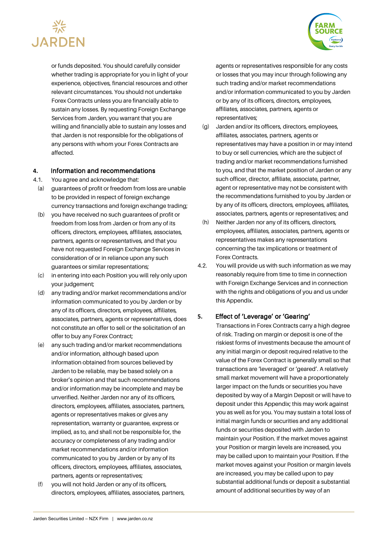

or funds deposited. You should carefully consider whether trading is appropriate for you in light of your experience, objectives, financial resources and other relevant circumstances. You should not undertake Forex Contracts unless you are financially able to sustain any losses. By requesting Foreign Exchange Services from Jarden, you warrant that you are willing and financially able to sustain any losses and that Jarden is not responsible for the obligations of any persons with whom your Forex Contracts are affected.

#### **4.** Information and recommendations

- 4.1. You agree and acknowledge that:
- (a) guarantees of profit or freedom from loss are unable to be provided in respect of foreign exchange currency transactions and foreign exchange trading;
- (b) you have received no such guarantees of profit or freedom from loss from Jarden or from any of its officers, directors, employees, affiliates, associates, partners, agents or representatives, and that you have not requested Foreign Exchange Services in consideration of or in reliance upon any such guarantees or similar representations;
- (c) in entering into each Position you will rely only upon your judgement;
- (d) any trading and/or market recommendations and/or information communicated to you by Jarden or by any of its officers, directors, employees, affiliates, associates, partners, agents or representatives, does not constitute an offer to sell or the solicitation of an offer to buy any Forex Contract;
- (e) any such trading and/or market recommendations and/or information, although based upon information obtained from sources believed by Jarden to be reliable, may be based solely on a broker's opinion and that such recommendations and/or information may be incomplete and may be unverified. Neither Jarden nor any of its officers, directors, employees, affiliates, associates, partners, agents or representatives makes or gives any representation, warranty or guarantee, express or implied, as to, and shall not be responsible for, the accuracy or completeness of any trading and/or market recommendations and/or information communicated to you by Jarden or by any of its officers, directors, employees, affiliates, associates, partners, agents or representatives;
- (f) you will not hold Jarden or any of its officers, directors, employees, affiliates, associates, partners,



- (g) Jarden and/or its officers, directors, employees, affiliates, associates, partners, agents or representatives may have a position in or may intend to buy or sell currencies, which are the subject of trading and/or market recommendations furnished to you, and that the market position of Jarden or any such officer, director, affiliate, associate, partner, agent or representative may not be consistent with the recommendations furnished to you by Jarden or by any of its officers, directors, employees, affiliates, associates, partners, agents or representatives; and
- (h) Neither Jarden nor any of its officers, directors, employees, affiliates, associates, partners, agents or representatives makes any representations concerning the tax implications or treatment of Forex Contracts.
- 4.2. You will provide us with such information as we may reasonably require from time to time in connection with Foreign Exchange Services and in connection with the rights and obligations of you and us under this Appendix.

## **5.** Effect of 'Leverage' or 'Gearing'

Transactions in Forex Contracts carry a high degree of risk. Trading on margin or deposit is one of the riskiest forms of investments because the amount of any initial margin or deposit required relative to the value of the Forex Contract is generally small so that transactions are 'leveraged' or 'geared'. A relatively small market movement will have a proportionately larger impact on the funds or securities you have deposited by way of a Margin Deposit or will have to deposit under this Appendix; this may work against you as well as for you. You may sustain a total loss of initial margin funds or securities and any additional funds or securities deposited with Jarden to maintain your Position. If the market moves against your Position or margin levels are increased, you may be called upon to maintain your Position. If the market moves against your Position or margin levels are increased, you may be called upon to pay substantial additional funds or deposit a substantial amount of additional securities by way of an

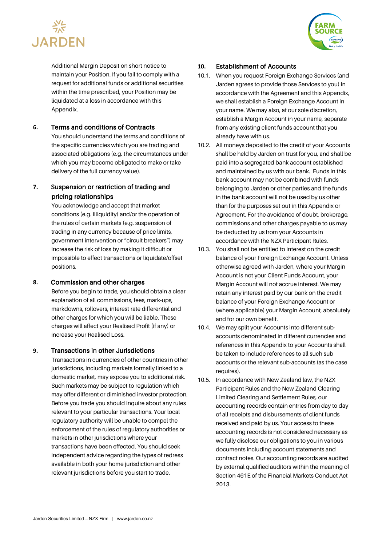



Additional Margin Deposit on short notice to maintain your Position. If you fail to comply with a request for additional funds or additional securities within the time prescribed, your Position may be liquidated at a loss in accordance with this Appendix.

## **6.** Terms and conditions of Contracts

You should understand the terms and conditions of the specific currencies which you are trading and associated obligations (e.g. the circumstances under which you may become obligated to make or take delivery of the full currency value).

## **7.** Suspension or restriction of trading and pricing relationships

You acknowledge and accept that market conditions (e.g. illiquidity) and/or the operation of the rules of certain markets (e.g. suspension of trading in any currency because of price limits, government intervention or "circuit breakers") may increase the risk of loss by making it difficult or impossible to effect transactions or liquidate/offset positions.

## **8.** Commission and other charges

Before you begin to trade, you should obtain a clear explanation of all commissions, fees, mark-ups, markdowns, rollovers, interest rate differential and other charges for which you will be liable. These charges will affect your Realised Profit (if any) or increase your Realised Loss.

#### **9.** Transactions in other Jurisdictions

Transactions in currencies of other countries in other jurisdictions, including markets formally linked to a domestic market, may expose you to additional risk. Such markets may be subject to regulation which may offer different or diminished investor protection. Before you trade you should inquire about any rules relevant to your particular transactions. Your local regulatory authority will be unable to compel the enforcement of the rules of regulatory authorities or markets in other jurisdictions where your transactions have been effected. You should seek independent advice regarding the types of redress available in both your home jurisdiction and other relevant jurisdictions before you start to trade.

## **10.** Establishment of Accounts

- 10.1. When you request Foreign Exchange Services (and Jarden agrees to provide those Services to you) in accordance with the Agreement and this Appendix, we shall establish a Foreign Exchange Account in your name. We may also, at our sole discretion, establish a Margin Account in your name, separate from any existing client funds account that you already have with us.
- 10.2. All moneys deposited to the credit of your Accounts shall be held by Jarden on trust for you, and shall be paid into a segregated bank account established and maintained by us with our bank. Funds in this bank account may not be combined with funds belonging to Jarden or other parties and the funds in the bank account will not be used by us other than for the purposes set out in this Appendix or Agreement. For the avoidance of doubt, brokerage, commissions and other charges payable to us may be deducted by us from your Accounts in accordance with the NZX Participant Rules.
- 10.3. You shall not be entitled to interest on the credit balance of your Foreign Exchange Account. Unless otherwise agreed with Jarden, where your Margin Account is not your Client Funds Account, your Margin Account will not accrue interest. We may retain any interest paid by our bank on the credit balance of your Foreign Exchange Account or (where applicable) your Margin Account, absolutely and for our own benefit.
- 10.4. We may split your Accounts into different subaccounts denominated in different currencies and references in this Appendix to your Accounts shall be taken to include references to all such subaccounts or the relevant sub-accounts (as the case requires).
- 10.5. In accordance with New Zealand law, the NZX Participant Rules and the New Zealand Clearing Limited Clearing and Settlement Rules, our accounting records contain entries from day to day of all receipts and disbursements of client funds received and paid by us. Your access to these accounting records is not considered necessary as we fully disclose our obligations to you in various documents including account statements and contract notes. Our accounting records are audited by external qualified auditors within the meaning of Section 461E of the Financial Markets Conduct Act 2013.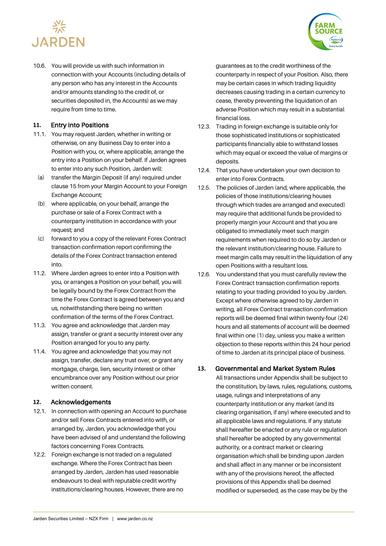



10.6. You will provide us with such information in connection with your Accounts (including details of any person who has any interest in the Accounts and/or amounts standing to the credit of, or securities deposited in, the Accounts) as we may require from time to time.

#### **11.** Entry into Positions

- 11.1. You may request Jarden, whether in writing or otherwise, on any Business Day to enter into a Position with you, or, where applicable, arrange the entry into a Position on your behalf. If Jarden agrees to enter into any such Position, Jarden will:
- (a) transfer the Margin Deposit (if any) required under clause 15 from your Margin Account to your Foreign Exchange Account;
- (b) where applicable, on your behalf, arrange the purchase or sale of a Forex Contract with a counterparty institution in accordance with your request; and
- (c) forward to you a copy of the relevant Forex Contract transaction confirmation report confirming the details of the Forex Contract transaction entered into.
- 11.2. Where Jarden agrees to enter into a Position with you, or arranges a Position on your behalf, you will be legally bound by the Forex Contract from the time the Forex Contract is agreed between you and us, notwithstanding there being no written confirmation of the terms of the Forex Contract.
- 11.3. You agree and acknowledge that Jarden may assign, transfer or grant a security interest over any Position arranged for you to any party.
- 11.4. You agree and acknowledge that you may not assign, transfer, declare any trust over, or grant any mortgage, charge, lien, security interest or other encumbrance over any Position without our prior written consent.

#### **12.** Acknowledgements

- 12.1. In connection with opening an Account to purchase and/or sell Forex Contracts entered into with, or arranged by, Jarden, you acknowledge that you have been advised of and understand the following factors concerning Forex Contracts.
- 12.2. Foreign exchange is not traded on a regulated exchange. Where the Forex Contract has been arranged by Jarden, Jarden has used reasonable endeavours to deal with reputable credit worthy institutions/clearing houses. However, there are no

guarantees as to the credit worthiness of the counterparty in respect of your Position. Also, there may be certain cases in which trading liquidity decreases causing trading in a certain currency to cease, thereby preventing the liquidation of an adverse Position which may result in a substantial financial loss.

- 12.3. Trading in foreign exchange is suitable only for those sophisticated institutions or sophisticated participants financially able to withstand losses which may equal or exceed the value of margins or deposits.
- 12.4. That you have undertaken your own decision to enter into Forex Contracts.
- 12.5. The policies of Jarden (and, where applicable, the policies of those institutions/clearing houses through which trades are arranged and executed) may require that additional funds be provided to properly margin your Account and that you are obligated to immediately meet such margin requirements when required to do so by Jarden or the relevant institution/clearing house. Failure to meet margin calls may result in the liquidation of any open Positions with a resultant loss.
- 12.6. You understand that you must carefully review the Forex Contract transaction confirmation reports relating to your trading provided to you by Jarden. Except where otherwise agreed to by Jarden in writing, all Forex Contract transaction confirmation reports will be deemed final within twenty-four (24) hours and all statements of account will be deemed final within one (1) day, unless you make a written objection to these reports within this 24 hour period of time to Jarden at its principal place of business.

#### **13.** Governmental and Market System Rules

All transactions under Appendix shall be subject to the constitution, by-laws, rules, regulations, customs, usage, rulings and interpretations of any counterparty institution or any market (and its clearing organisation, if any) where executed and to all applicable laws and regulations. If any statute shall hereafter be enacted or any rule or regulation shall hereafter be adopted by any governmental authority, or a contract market or clearing organisation which shall be binding upon Jarden and shall affect in any manner or be inconsistent with any of the provisions hereof, the affected provisions of this Appendix shall be deemed modified or superseded, as the case may be by the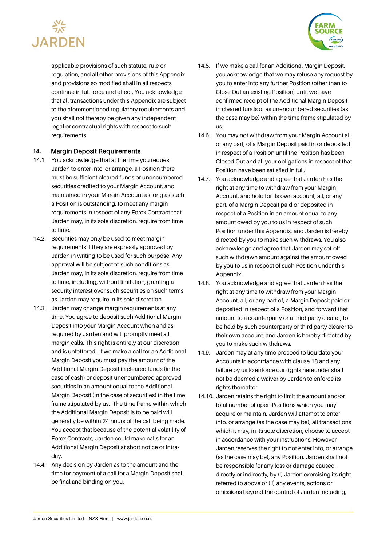



applicable provisions of such statute, rule or regulation, and all other provisions of this Appendix and provisions so modified shall in all respects continue in full force and effect. You acknowledge that all transactions under this Appendix are subject to the aforementioned regulatory requirements and you shall not thereby be given any independent legal or contractual rights with respect to such requirements.

#### **14.** Margin Deposit Requirements

- 14.1. You acknowledge that at the time you request Jarden to enter into, or arrange, a Position there must be sufficient cleared funds or unencumbered securities credited to your Margin Account, and maintained in your Margin Account as long as such a Position is outstanding, to meet any margin requirements in respect of any Forex Contract that Jarden may, in its sole discretion, require from time to time.
- 14.2. Securities may only be used to meet margin requirements if they are expressly approved by Jarden in writing to be used for such purpose. Any approval will be subject to such conditions as Jarden may, in its sole discretion, require from time to time, including, without limitation, granting a security interest over such securities on such terms as Jarden may require in its sole discretion.
- 14.3. Jarden may change margin requirements at any time. You agree to deposit such Additional Margin Deposit into your Margin Account when and as required by Jarden and will promptly meet all margin calls. This right is entirely at our discretion and is unfettered. If we make a call for an Additional Margin Deposit you must pay the amount of the Additional Margin Deposit in cleared funds (in the case of cash) or deposit unencumbered approved securities in an amount equal to the Additional Margin Deposit (in the case of securities) in the time frame stipulated by us. The time frame within which the Additional Margin Deposit is to be paid will generally be within 24 hours of the call being made. You accept that because of the potential volatility of Forex Contracts, Jarden could make calls for an Additional Margin Deposit at short notice or intraday.
- 14.4. Any decision by Jarden as to the amount and the time for payment of a call for a Margin Deposit shall be final and binding on you.
- 14.5. If we make a call for an Additional Margin Deposit, you acknowledge that we may refuse any request by you to enter into any further Position (other than to Close Out an existing Position) until we have confirmed receipt of the Additional Margin Deposit in cleared funds or as unencumbered securities (as the case may be) within the time frame stipulated by us.
- 14.6. You may not withdraw from your Margin Account all, or any part, of a Margin Deposit paid in or deposited in respect of a Position until the Position has been Closed Out and all your obligations in respect of that Position have been satisfied in full.
- 14.7. You acknowledge and agree that Jarden has the right at any time to withdraw from your Margin Account, and hold for its own account, all, or any part, of a Margin Deposit paid or deposited in respect of a Position in an amount equal to any amount owed by you to us in respect of such Position under this Appendix, and Jarden is hereby directed by you to make such withdraws. You also acknowledge and agree that Jarden may set-off such withdrawn amount against the amount owed by you to us in respect of such Position under this Appendix.
- 14.8. You acknowledge and agree that Jarden has the right at any time to withdraw from your Margin Account, all, or any part of, a Margin Deposit paid or deposited in respect of a Position, and forward that amount to a counterparty or a third party clearer, to be held by such counterparty or third party clearer to their own account, and Jarden is hereby directed by you to make such withdraws.
- 14.9. Jarden may at any time proceed to liquidate your Accounts in accordance with clause 18 and any failure by us to enforce our rights hereunder shall not be deemed a waiver by Jarden to enforce its rights thereafter.
- 14.10. Jarden retains the right to limit the amount and/or total number of open Positions which you may acquire or maintain. Jarden will attempt to enter into, or arrange (as the case may be), all transactions which it may, in its sole discretion, choose to accept in accordance with your instructions. However, Jarden reserves the right to not enter into, or arrange (as the case may be), any Position. Jarden shall not be responsible for any loss or damage caused, directly or indirectly, by (i) Jarden exercising its right referred to above or (ii) any events, actions or omissions beyond the control of Jarden including,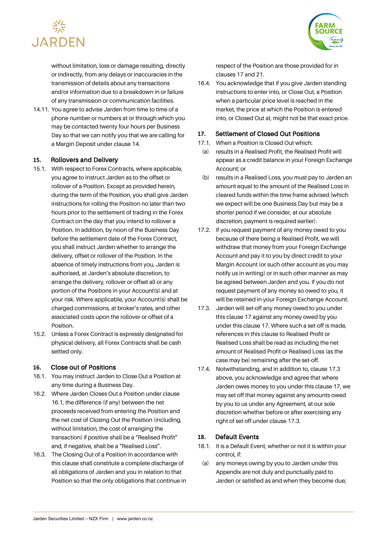



without limitation, loss or damage resulting, directly or indirectly, from any delays or inaccuracies in the transmission of details about any transactions and/or information due to a breakdown in or failure of any transmission or communication facilities.

14.11. You agree to advise Jarden from time to time of a phone number or numbers at or through which you may be contacted twenty four hours per Business Day so that we can notify you that we are calling for a Margin Deposit under clause 14.

#### **15.** Rollovers and Delivery

- 15.1. With respect to Forex Contracts, where applicable, you agree to instruct Jarden as to the offset or rollover of a Position. Except as provided herein, during the term of the Position, you shall give Jarden instructions for rolling the Position no later than two hours prior to the settlement of trading in the Forex Contract on the day that you intend to rollover a Position. In addition, by noon of the Business Day before the settlement date of the Forex Contract, you shall instruct Jarden whether to arrange the delivery, offset or rollover of the Position. In the absence of timely instructions from you, Jarden is authorised, at Jarden's absolute discretion, to arrange the delivery, rollover or offset all or any portion of the Positions in your Account(s) and at your risk. Where applicable, your Account(s) shall be charged commissions, at broker's rates, and other associated costs upon the rollover or offset of a Position.
- 15.2. Unless a Forex Contract is expressly designated for physical delivery, all Forex Contracts shall be cash settled only.

#### **16.** Close out of Positions

- 16.1. You may instruct Jarden to Close Out a Position at any time during a Business Day.
- 16.2. Where Jarden Closes Out a Position under clause 16.1, the difference (if any) between the net proceeds received from entering the Position and the net cost of Closing Out the Position (including, without limitation, the cost of arranging the transaction) if positive shall be a "Realised Profit" and, if negative, shall be a "Realised Loss".
- 16.3. The Closing Out of a Position in accordance with this clause shall constitute a complete discharge of all obligations of Jarden and you in relation to that Position so that the only obligations that continue in

respect of the Position are those provided for in clauses 17 and 21.

16.4. You acknowledge that if you give Jarden standing instructions to enter into, or Close Out, a Position when a particular price level is reached in the market, the price at which the Position is entered into, or Closed Out at, might not be that exact price.

## **17.** Settlement of Closed Out Positions

- 17.1. When a Position is Closed Out which:
- (a) results in a Realised Profit, the Realised Profit will appear as a credit balance in your Foreign Exchange Account; or
- (b) results in a Realised Loss, you must pay to Jarden an amount equal to the amount of the Realised Loss in cleared funds within the time frame advised (which we expect will be one Business Day but may be a shorter period if we consider, at our absolute discretion, payment is required earlier).
- 17.2. If you request payment of any money owed to you because of there being a Realised Profit, we will withdraw that money from your Foreign Exchange Account and pay it to you by direct credit to your Margin Account (or such other account as you may notify us in writing) or in such other manner as may be agreed between Jarden and you. If you do not request payment of any money so owed to you, it will be retained in your Foreign Exchange Account.
- 17.3. Jarden will set-off any money owed to you under this clause 17 against any money owed by you under this clause 17. Where such a set-off is made, references in this clause to Realised Profit or Realised Loss shall be read as including the net amount of Realised Profit or Realised Loss (as the case may be) remaining after the set-off.
- 17.4. Notwithstanding, and in addition to, clause 17.3 above, you acknowledge and agree that where Jarden owes money to you under this clause 17, we may set off that money against any amounts owed by you to us under any Agreement, at our sole discretion whether before or after exercising any right of set off under clause 17.3.

#### **18.** Default Events

- 18.1. It is a Default Event, whether or not it is within your control, if:
	- (a) any moneys owing by you to Jarden under this Appendix are not duly and punctually paid to Jarden or satisfied as and when they become due;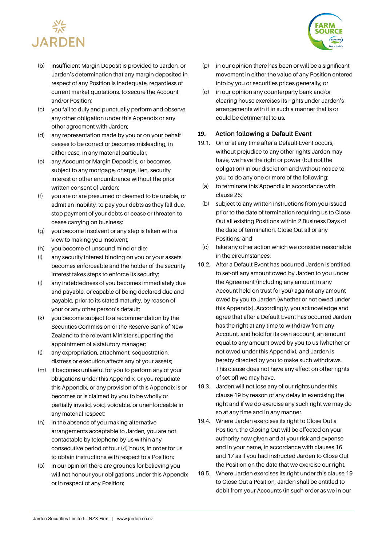



- (b) insufficient Margin Deposit is provided to Jarden, or Jarden's determination that any margin deposited in respect of any Position is inadequate, regardless of current market quotations, to secure the Account and/or Position;
- (c) you fail to duly and punctually perform and observe any other obligation under this Appendix or any other agreement with Jarden;
- (d) any representation made by you or on your behalf ceases to be correct or becomes misleading, in either case, in any material particular;
- (e) any Account or Margin Deposit is, or becomes, subject to any mortgage, charge, lien, security interest or other encumbrance without the prior written consent of Jarden;
- (f) you are or are presumed or deemed to be unable, or admit an inability, to pay your debts as they fall due, stop payment of your debts or cease or threaten to cease carrying on business;
- (g) you become Insolvent or any step is taken with a view to making you Insolvent;
- (h) you become of unsound mind or die;
- (i) any security interest binding on you or your assets becomes enforceable and the holder of the security interest takes steps to enforce its security;
- (j) any indebtedness of you becomes immediately due and payable, or capable of being declared due and payable, prior to its stated maturity, by reason of your or any other person's default;
- (k) you become subject to a recommendation by the Securities Commission or the Reserve Bank of New Zealand to the relevant Minister supporting the appointment of a statutory manager;
- (l) any expropriation, attachment, sequestration, distress or execution affects any of your assets;
- (m) it becomes unlawful for you to perform any of your obligations under this Appendix, or you repudiate this Appendix, or any provision of this Appendix is or becomes or is claimed by you to be wholly or partially invalid, void, voidable, or unenforceable in any material respect;
- (n) in the absence of you making alternative arrangements acceptable to Jarden, you are not contactable by telephone by us within any consecutive period of four (4) hours, in order for us to obtain instructions with respect to a Position;
- (o) in our opinion there are grounds for believing you will not honour your obligations under this Appendix or in respect of any Position;
- (p) in our opinion there has been or will be a significant movement in either the value of any Position entered into by you or securities prices generally; or
- (q) in our opinion any counterparty bank and/or clearing house exercises its rights under Jarden's arrangements with it in such a manner that is or could be detrimental to us.

## **19.** Action following a Default Event

- 19.1. On or at any time after a Default Event occurs, without prejudice to any other rights Jarden may have, we have the right or power (but not the obligation) in our discretion and without notice to you, to do any one or more of the following:
	- (a) to terminate this Appendix in accordance with clause 25;
	- (b) subject to any written instructions from you issued prior to the date of termination requiring us to Close Out all existing Positions within 2 Business Days of the date of termination, Close Out all or any Positions; and
	- (c) take any other action which we consider reasonable in the circumstances.
- 19.2. After a Default Event has occurred Jarden is entitled to set-off any amount owed by Jarden to you under the Agreement (including any amount in any Account held on trust for you) against any amount owed by you to Jarden (whether or not owed under this Appendix). Accordingly, you acknowledge and agree that after a Default Event has occurred Jarden has the right at any time to withdraw from any Account, and hold for its own account, an amount equal to any amount owed by you to us (whether or not owed under this Appendix), and Jarden is hereby directed by you to make such withdraws. This clause does not have any effect on other rights of set-off we may have.
- 19.3. Jarden will not lose any of our rights under this clause 19 by reason of any delay in exercising the right and if we do exercise any such right we may do so at any time and in any manner.
- 19.4. Where Jarden exercises its right to Close Out a Position, the Closing Out will be effected on your authority now given and at your risk and expense and in your name, in accordance with clauses 16 and 17 as if you had instructed Jarden to Close Out the Position on the date that we exercise our right.
- 19.5. Where Jarden exercises its right under this clause 19 to Close Out a Position, Jarden shall be entitled to debit from your Accounts (in such order as we in our